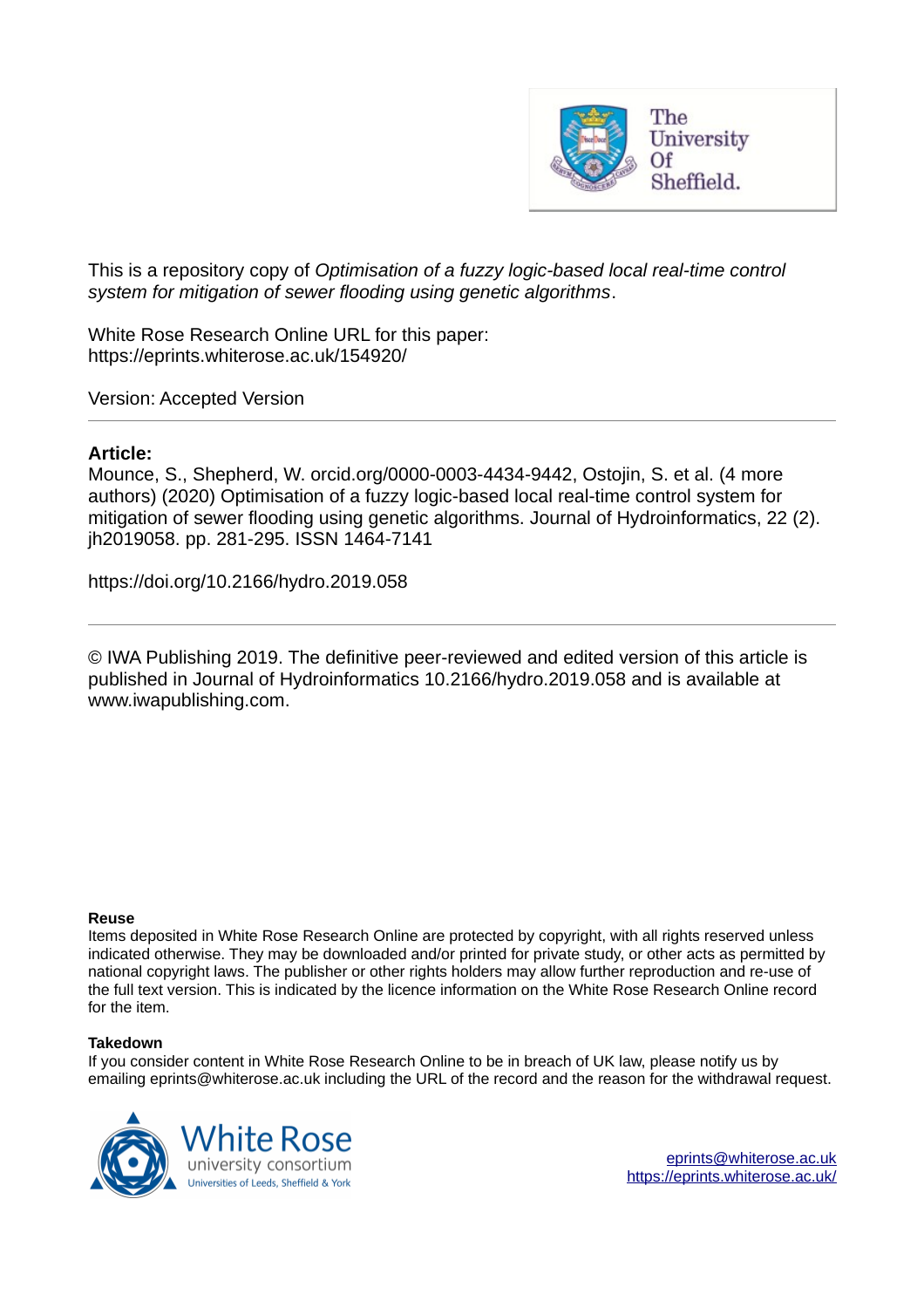

This is a repository copy of *Optimisation of a fuzzy logic-based local real-time control system for mitigation of sewer flooding using genetic algorithms*.

White Rose Research Online URL for this paper: https://eprints.whiterose.ac.uk/154920/

Version: Accepted Version

# **Article:**

Mounce, S., Shepherd, W. orcid.org/0000-0003-4434-9442, Ostojin, S. et al. (4 more authors) (2020) Optimisation of a fuzzy logic-based local real-time control system for mitigation of sewer flooding using genetic algorithms. Journal of Hydroinformatics, 22 (2). jh2019058. pp. 281-295. ISSN 1464-7141

https://doi.org/10.2166/hydro.2019.058

© IWA Publishing 2019. The definitive peer-reviewed and edited version of this article is published in Journal of Hydroinformatics 10.2166/hydro.2019.058 and is available at www.iwapublishing.com.

#### **Reuse**

Items deposited in White Rose Research Online are protected by copyright, with all rights reserved unless indicated otherwise. They may be downloaded and/or printed for private study, or other acts as permitted by national copyright laws. The publisher or other rights holders may allow further reproduction and re-use of the full text version. This is indicated by the licence information on the White Rose Research Online record for the item.

#### **Takedown**

If you consider content in White Rose Research Online to be in breach of UK law, please notify us by emailing eprints@whiterose.ac.uk including the URL of the record and the reason for the withdrawal request.

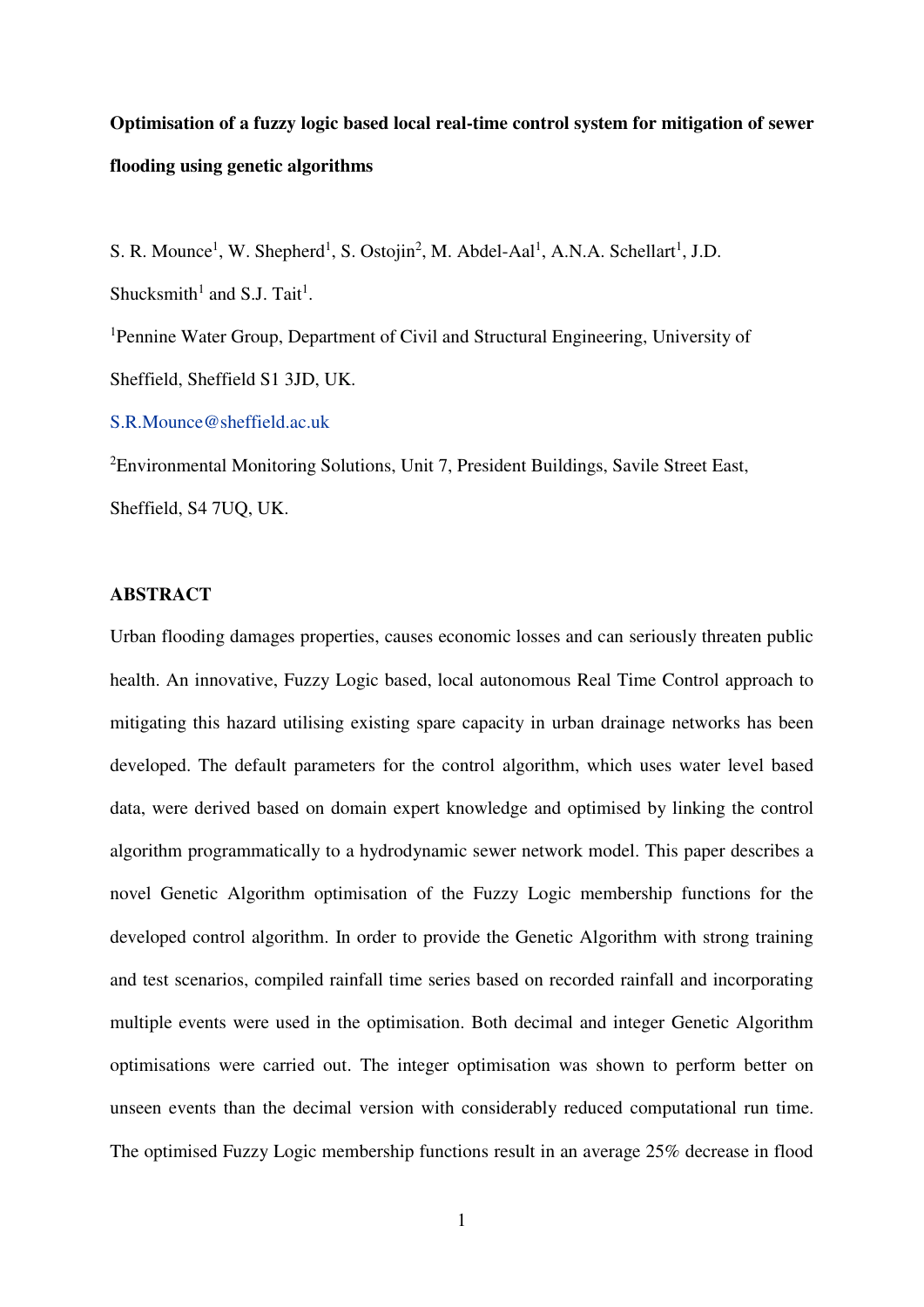# **Optimisation of a fuzzy logic based local real-time control system for mitigation of sewer flooding using genetic algorithms**

S. R. Mounce<sup>1</sup>, W. Shepherd<sup>1</sup>, S. Ostojin<sup>2</sup>, M. Abdel-Aal<sup>1</sup>, A.N.A. Schellart<sup>1</sup>, J.D. Shucksmith<sup>1</sup> and S.J. Tait<sup>1</sup>.

<sup>1</sup>Pennine Water Group, Department of Civil and Structural Engineering, University of Sheffield, Sheffield S1 3JD, UK.

#### [S.R.Mounce@sheffield.ac.uk](mailto:S.R.Mounce@sheffield.ac.uk)

<sup>2</sup>Environmental Monitoring Solutions, Unit 7, President Buildings, Savile Street East, Sheffield, S4 7UQ, UK.

### **ABSTRACT**

Urban flooding damages properties, causes economic losses and can seriously threaten public health. An innovative, Fuzzy Logic based, local autonomous Real Time Control approach to mitigating this hazard utilising existing spare capacity in urban drainage networks has been developed. The default parameters for the control algorithm, which uses water level based data, were derived based on domain expert knowledge and optimised by linking the control algorithm programmatically to a hydrodynamic sewer network model. This paper describes a novel Genetic Algorithm optimisation of the Fuzzy Logic membership functions for the developed control algorithm. In order to provide the Genetic Algorithm with strong training and test scenarios, compiled rainfall time series based on recorded rainfall and incorporating multiple events were used in the optimisation. Both decimal and integer Genetic Algorithm optimisations were carried out. The integer optimisation was shown to perform better on unseen events than the decimal version with considerably reduced computational run time. The optimised Fuzzy Logic membership functions result in an average 25% decrease in flood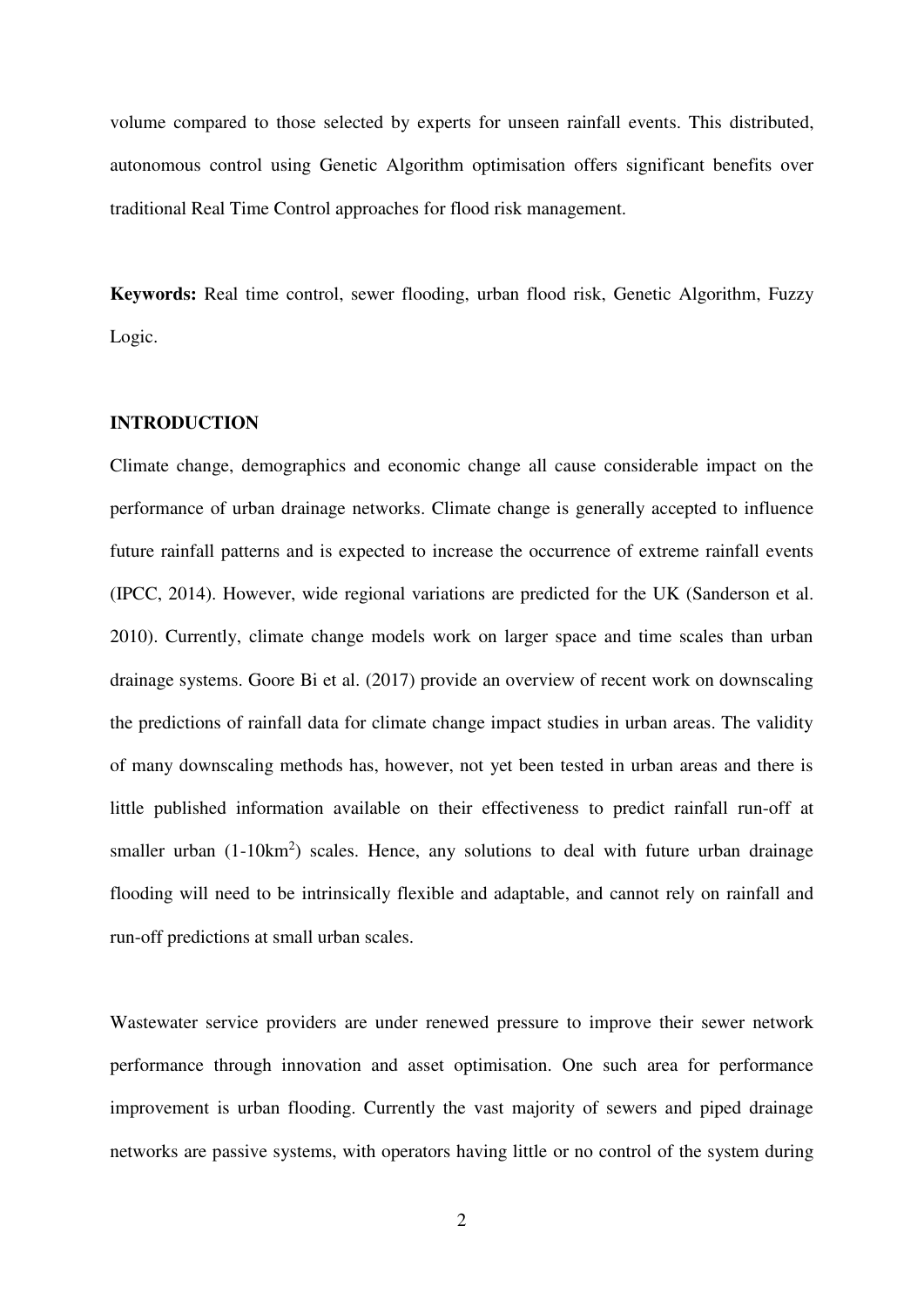volume compared to those selected by experts for unseen rainfall events. This distributed, autonomous control using Genetic Algorithm optimisation offers significant benefits over traditional Real Time Control approaches for flood risk management.

**Keywords:** Real time control, sewer flooding, urban flood risk, Genetic Algorithm, Fuzzy Logic.

#### **INTRODUCTION**

Climate change, demographics and economic change all cause considerable impact on the performance of urban drainage networks. Climate change is generally accepted to influence future rainfall patterns and is expected to increase the occurrence of extreme rainfall events (IPCC, 2014). However, wide regional variations are predicted for the UK (Sanderson et al. 2010). Currently, climate change models work on larger space and time scales than urban drainage systems. Goore Bi et al. (2017) provide an overview of recent work on downscaling the predictions of rainfall data for climate change impact studies in urban areas. The validity of many downscaling methods has, however, not yet been tested in urban areas and there is little published information available on their effectiveness to predict rainfall run-off at smaller urban  $(1-10km^2)$  scales. Hence, any solutions to deal with future urban drainage flooding will need to be intrinsically flexible and adaptable, and cannot rely on rainfall and run-off predictions at small urban scales.

Wastewater service providers are under renewed pressure to improve their sewer network performance through innovation and asset optimisation. One such area for performance improvement is urban flooding. Currently the vast majority of sewers and piped drainage networks are passive systems, with operators having little or no control of the system during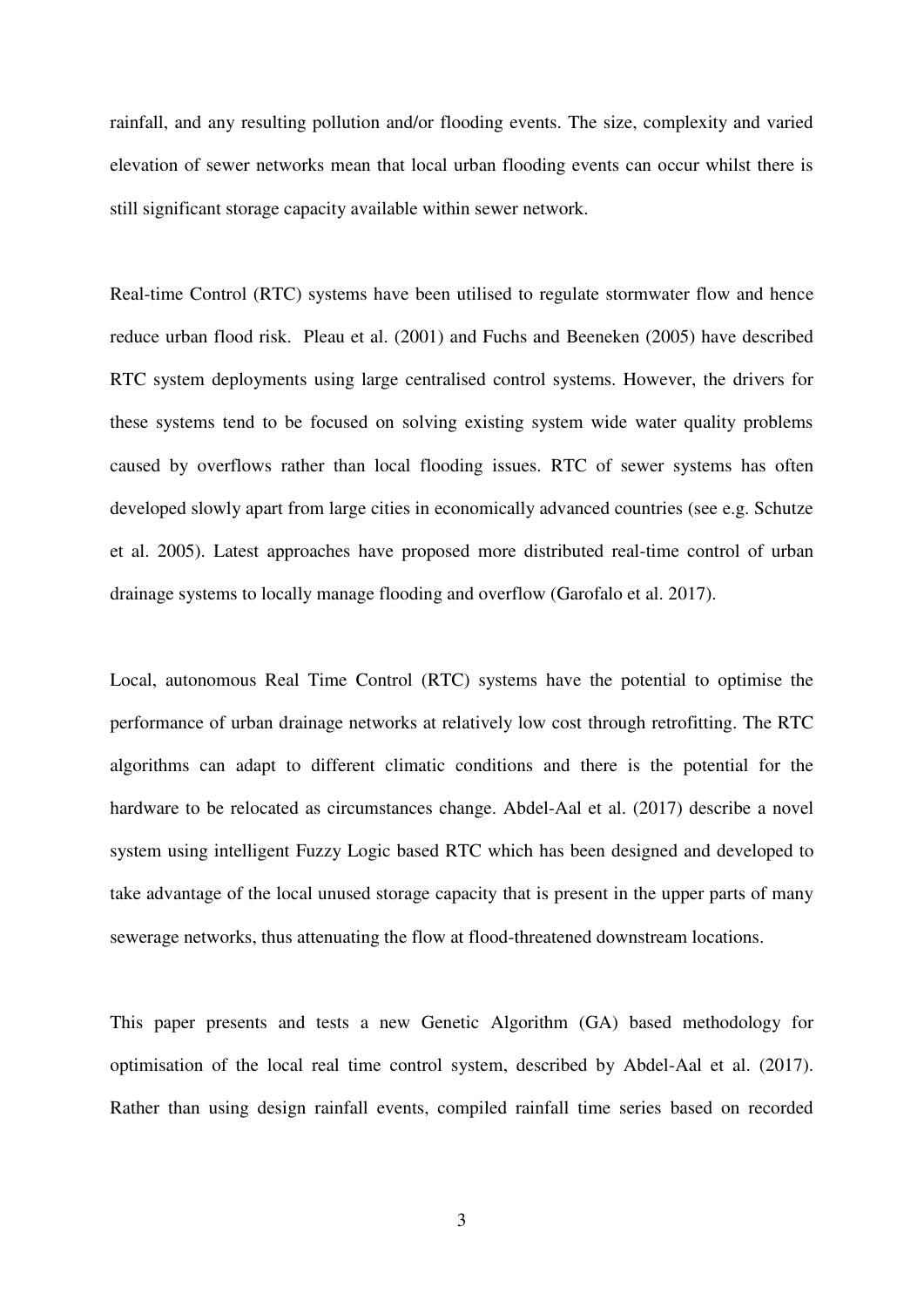rainfall, and any resulting pollution and/or flooding events. The size, complexity and varied elevation of sewer networks mean that local urban flooding events can occur whilst there is still significant storage capacity available within sewer network.

Real-time Control (RTC) systems have been utilised to regulate stormwater flow and hence reduce urban flood risk. Pleau et al. (2001) and Fuchs and Beeneken (2005) have described RTC system deployments using large centralised control systems. However, the drivers for these systems tend to be focused on solving existing system wide water quality problems caused by overflows rather than local flooding issues. RTC of sewer systems has often developed slowly apart from large cities in economically advanced countries (see e.g. Schutze et al. 2005). Latest approaches have proposed more distributed real-time control of urban drainage systems to locally manage flooding and overflow (Garofalo et al. 2017).

Local, autonomous Real Time Control (RTC) systems have the potential to optimise the performance of urban drainage networks at relatively low cost through retrofitting. The RTC algorithms can adapt to different climatic conditions and there is the potential for the hardware to be relocated as circumstances change. Abdel-Aal et al. (2017) describe a novel system using intelligent Fuzzy Logic based RTC which has been designed and developed to take advantage of the local unused storage capacity that is present in the upper parts of many sewerage networks, thus attenuating the flow at flood-threatened downstream locations.

This paper presents and tests a new Genetic Algorithm (GA) based methodology for optimisation of the local real time control system, described by Abdel-Aal et al. (2017). Rather than using design rainfall events, compiled rainfall time series based on recorded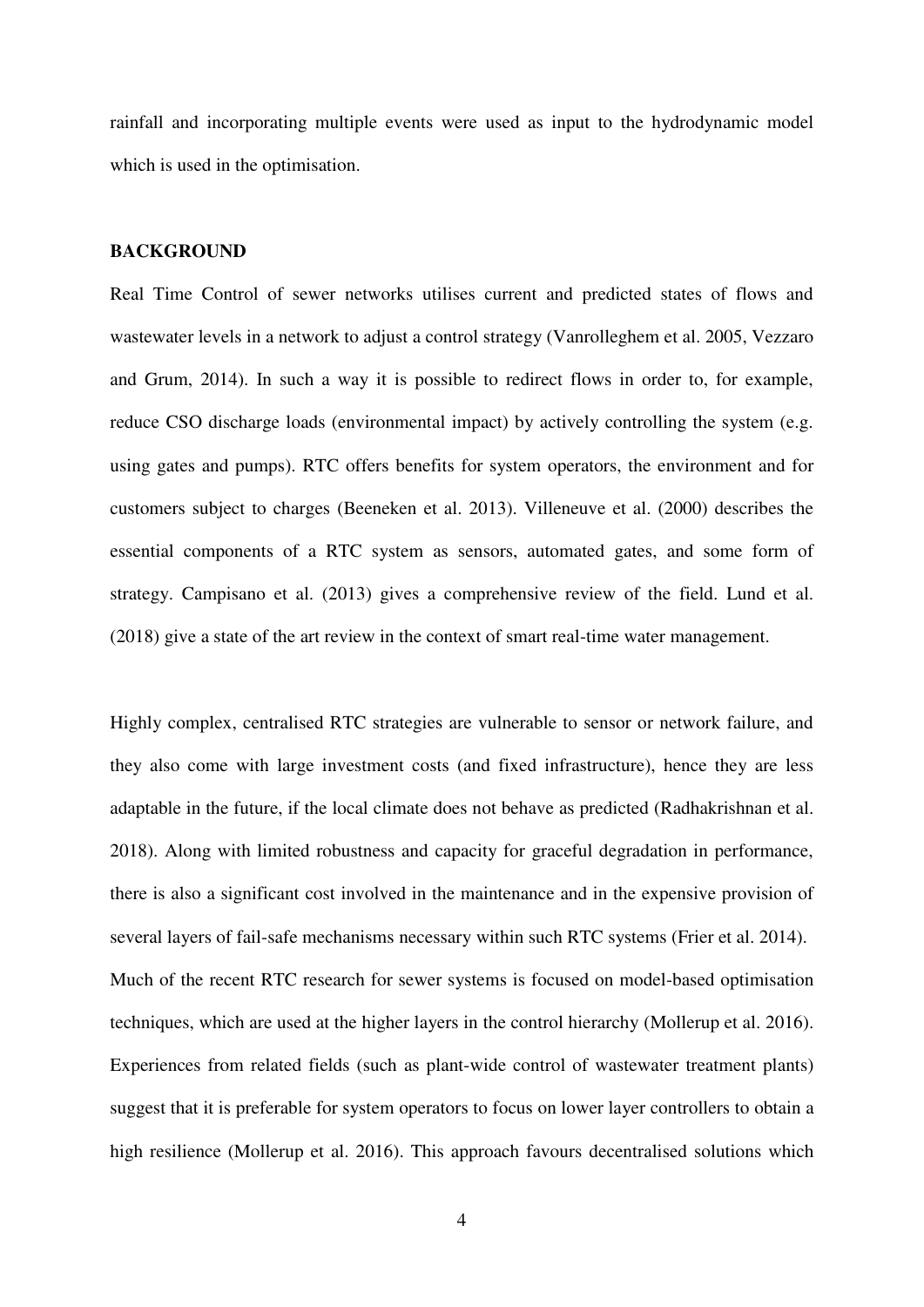rainfall and incorporating multiple events were used as input to the hydrodynamic model which is used in the optimisation.

## **BACKGROUND**

Real Time Control of sewer networks utilises current and predicted states of flows and wastewater levels in a network to adjust a control strategy (Vanrolleghem et al. 2005, Vezzaro and Grum, 2014). In such a way it is possible to redirect flows in order to, for example, reduce CSO discharge loads (environmental impact) by actively controlling the system (e.g. using gates and pumps). RTC offers benefits for system operators, the environment and for customers subject to charges (Beeneken et al. 2013). Villeneuve et al. (2000) describes the essential components of a RTC system as sensors, automated gates, and some form of strategy. Campisano et al. (2013) gives a comprehensive review of the field. Lund et al. (2018) give a state of the art review in the context of smart real-time water management.

Highly complex, centralised RTC strategies are vulnerable to sensor or network failure, and they also come with large investment costs (and fixed infrastructure), hence they are less adaptable in the future, if the local climate does not behave as predicted (Radhakrishnan et al. 2018). Along with limited robustness and capacity for graceful degradation in performance, there is also a significant cost involved in the maintenance and in the expensive provision of several layers of fail-safe mechanisms necessary within such RTC systems (Frier et al. 2014). Much of the recent RTC research for sewer systems is focused on model-based optimisation techniques, which are used at the higher layers in the control hierarchy (Mollerup et al. 2016). Experiences from related fields (such as plant-wide control of wastewater treatment plants) suggest that it is preferable for system operators to focus on lower layer controllers to obtain a high resilience (Mollerup et al. 2016). This approach favours decentralised solutions which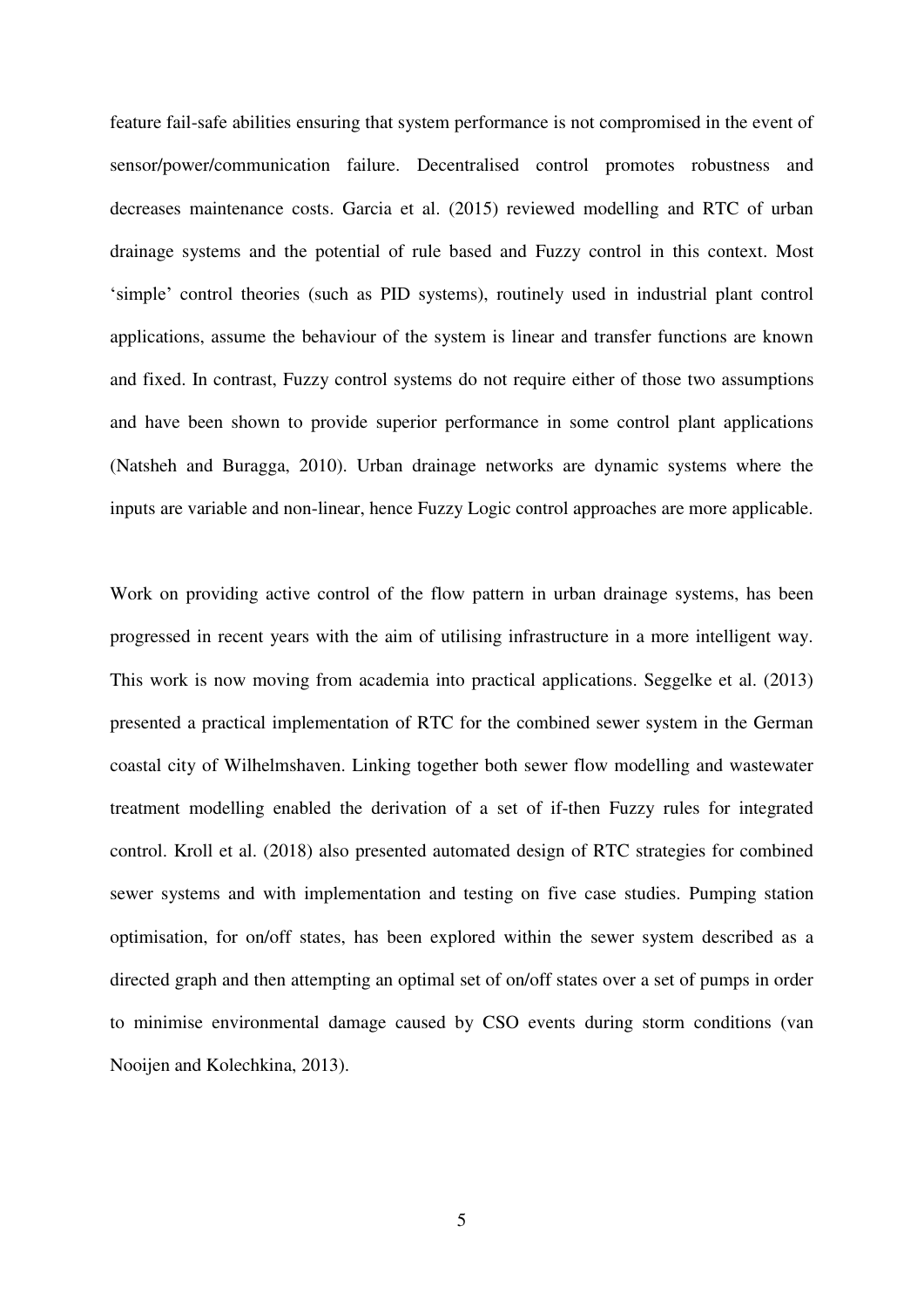feature fail-safe abilities ensuring that system performance is not compromised in the event of sensor/power/communication failure. Decentralised control promotes robustness and decreases maintenance costs. Garcia et al. (2015) reviewed modelling and RTC of urban drainage systems and the potential of rule based and Fuzzy control in this context. Most 'simple' control theories (such as PID systems), routinely used in industrial plant control applications, assume the behaviour of the system is linear and transfer functions are known and fixed. In contrast, Fuzzy control systems do not require either of those two assumptions and have been shown to provide superior performance in some control plant applications (Natsheh and Buragga, 2010). Urban drainage networks are dynamic systems where the inputs are variable and non-linear, hence Fuzzy Logic control approaches are more applicable.

Work on providing active control of the flow pattern in urban drainage systems, has been progressed in recent years with the aim of utilising infrastructure in a more intelligent way. This work is now moving from academia into practical applications. Seggelke et al. (2013) presented a practical implementation of RTC for the combined sewer system in the German coastal city of Wilhelmshaven. Linking together both sewer flow modelling and wastewater treatment modelling enabled the derivation of a set of if-then Fuzzy rules for integrated control. Kroll et al. (2018) also presented automated design of RTC strategies for combined sewer systems and with implementation and testing on five case studies. Pumping station optimisation, for on/off states, has been explored within the sewer system described as a directed graph and then attempting an optimal set of on/off states over a set of pumps in order to minimise environmental damage caused by CSO events during storm conditions (van Nooijen and Kolechkina, 2013).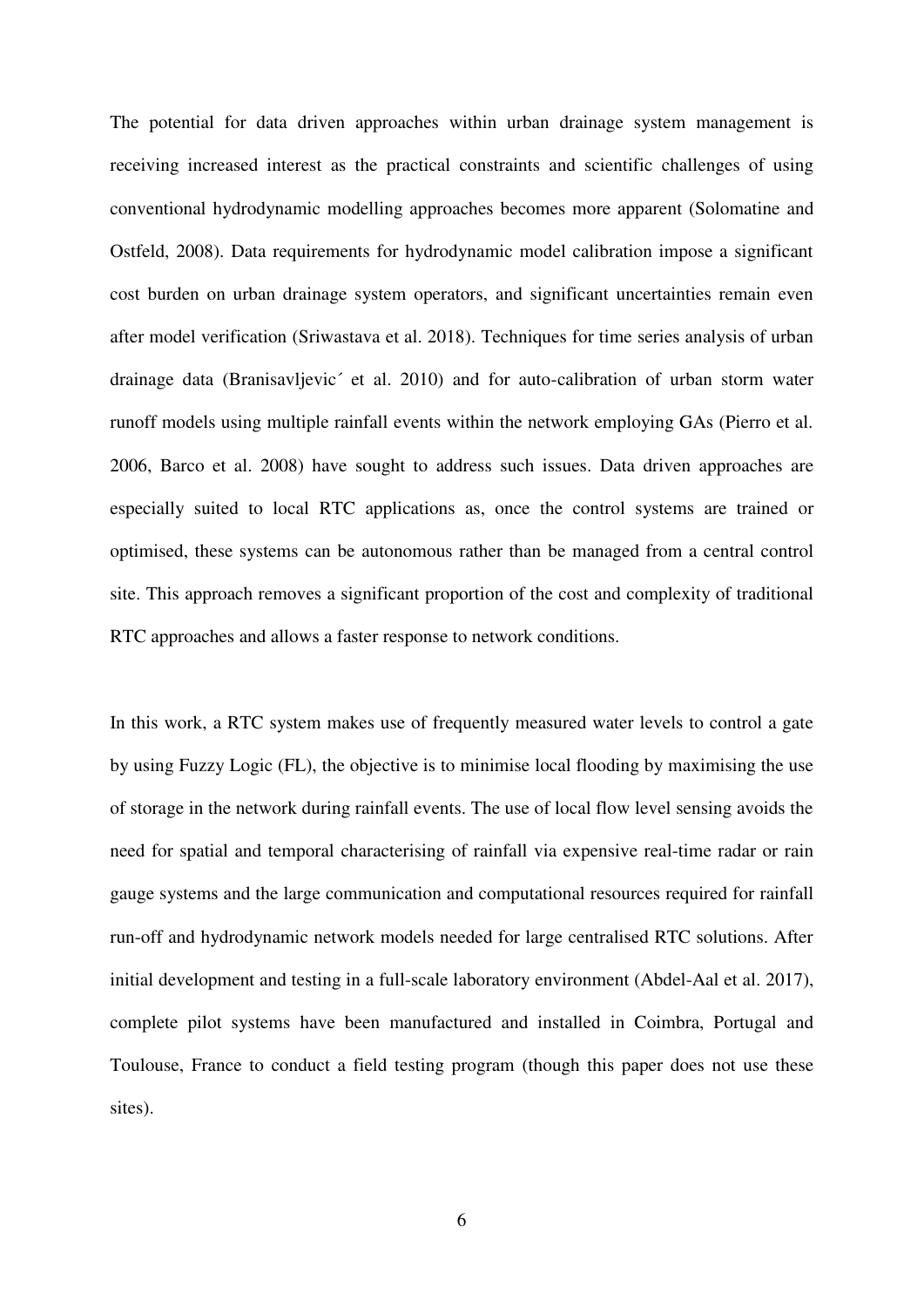The potential for data driven approaches within urban drainage system management is receiving increased interest as the practical constraints and scientific challenges of using conventional hydrodynamic modelling approaches becomes more apparent (Solomatine and Ostfeld, 2008). Data requirements for hydrodynamic model calibration impose a significant cost burden on urban drainage system operators, and significant uncertainties remain even after model verification (Sriwastava et al. 2018). Techniques for time series analysis of urban drainage data (Branisavljevic´ et al. 2010) and for auto-calibration of urban storm water runoff models using multiple rainfall events within the network employing GAs (Pierro et al. 2006, Barco et al. 2008) have sought to address such issues. Data driven approaches are especially suited to local RTC applications as, once the control systems are trained or optimised, these systems can be autonomous rather than be managed from a central control site. This approach removes a significant proportion of the cost and complexity of traditional RTC approaches and allows a faster response to network conditions.

In this work, a RTC system makes use of frequently measured water levels to control a gate by using Fuzzy Logic (FL), the objective is to minimise local flooding by maximising the use of storage in the network during rainfall events. The use of local flow level sensing avoids the need for spatial and temporal characterising of rainfall via expensive real-time radar or rain gauge systems and the large communication and computational resources required for rainfall run-off and hydrodynamic network models needed for large centralised RTC solutions. After initial development and testing in a full-scale laboratory environment (Abdel-Aal et al. 2017), complete pilot systems have been manufactured and installed in Coimbra, Portugal and Toulouse, France to conduct a field testing program (though this paper does not use these sites).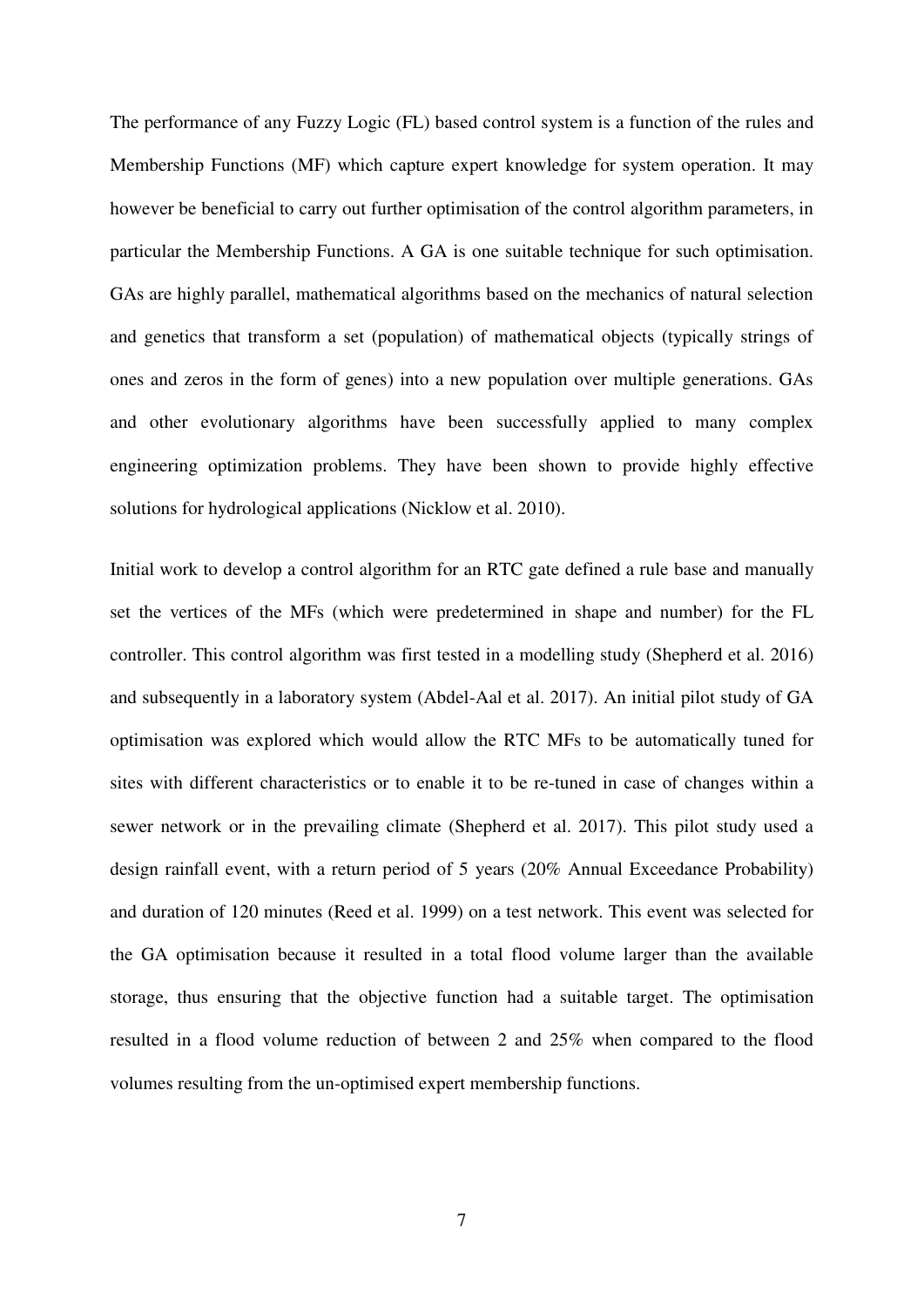The performance of any Fuzzy Logic (FL) based control system is a function of the rules and Membership Functions (MF) which capture expert knowledge for system operation. It may however be beneficial to carry out further optimisation of the control algorithm parameters, in particular the Membership Functions. A GA is one suitable technique for such optimisation. GAs are highly parallel, mathematical algorithms based on the mechanics of natural selection and genetics that transform a set (population) of mathematical objects (typically strings of ones and zeros in the form of genes) into a new population over multiple generations. GAs and other evolutionary algorithms have been successfully applied to many complex engineering optimization problems. They have been shown to provide highly effective solutions for hydrological applications (Nicklow et al. 2010).

Initial work to develop a control algorithm for an RTC gate defined a rule base and manually set the vertices of the MFs (which were predetermined in shape and number) for the FL controller. This control algorithm was first tested in a modelling study (Shepherd et al. 2016) and subsequently in a laboratory system (Abdel-Aal et al. 2017). An initial pilot study of GA optimisation was explored which would allow the RTC MFs to be automatically tuned for sites with different characteristics or to enable it to be re-tuned in case of changes within a sewer network or in the prevailing climate (Shepherd et al. 2017). This pilot study used a design rainfall event, with a return period of 5 years (20% Annual Exceedance Probability) and duration of 120 minutes (Reed et al. 1999) on a test network. This event was selected for the GA optimisation because it resulted in a total flood volume larger than the available storage, thus ensuring that the objective function had a suitable target. The optimisation resulted in a flood volume reduction of between 2 and 25% when compared to the flood volumes resulting from the un-optimised expert membership functions.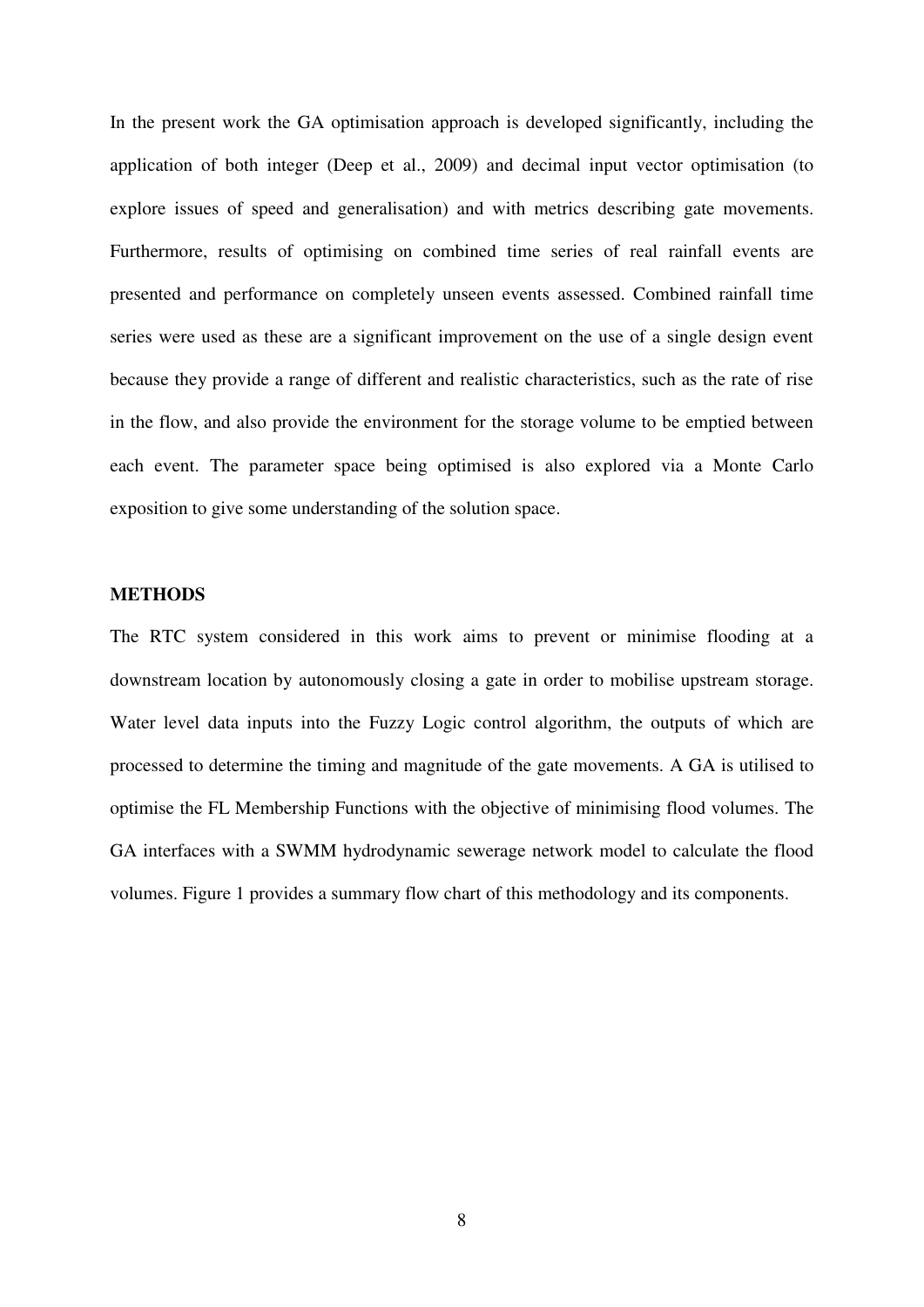In the present work the GA optimisation approach is developed significantly, including the application of both integer (Deep et al., 2009) and decimal input vector optimisation (to explore issues of speed and generalisation) and with metrics describing gate movements. Furthermore, results of optimising on combined time series of real rainfall events are presented and performance on completely unseen events assessed. Combined rainfall time series were used as these are a significant improvement on the use of a single design event because they provide a range of different and realistic characteristics, such as the rate of rise in the flow, and also provide the environment for the storage volume to be emptied between each event. The parameter space being optimised is also explored via a Monte Carlo exposition to give some understanding of the solution space.

#### **METHODS**

The RTC system considered in this work aims to prevent or minimise flooding at a downstream location by autonomously closing a gate in order to mobilise upstream storage. Water level data inputs into the Fuzzy Logic control algorithm, the outputs of which are processed to determine the timing and magnitude of the gate movements. A GA is utilised to optimise the FL Membership Functions with the objective of minimising flood volumes. The GA interfaces with a SWMM hydrodynamic sewerage network model to calculate the flood volumes. Figure 1 provides a summary flow chart of this methodology and its components.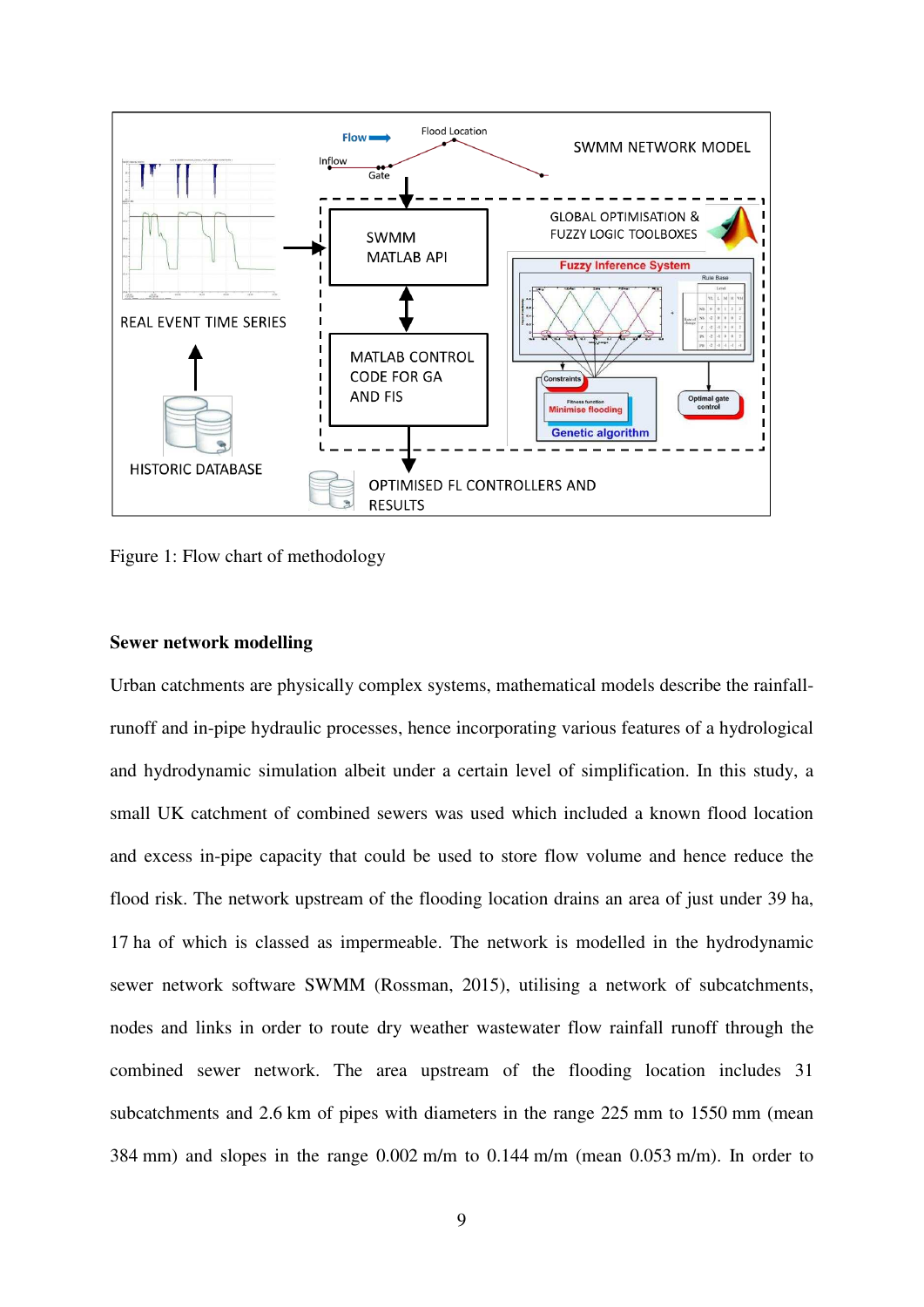

Figure 1: Flow chart of methodology

#### **Sewer network modelling**

Urban catchments are physically complex systems, mathematical models describe the rainfallrunoff and in-pipe hydraulic processes, hence incorporating various features of a hydrological and hydrodynamic simulation albeit under a certain level of simplification. In this study, a small UK catchment of combined sewers was used which included a known flood location and excess in-pipe capacity that could be used to store flow volume and hence reduce the flood risk. The network upstream of the flooding location drains an area of just under 39 ha, 17 ha of which is classed as impermeable. The network is modelled in the hydrodynamic sewer network software SWMM (Rossman, 2015), utilising a network of subcatchments, nodes and links in order to route dry weather wastewater flow rainfall runoff through the combined sewer network. The area upstream of the flooding location includes 31 subcatchments and 2.6 km of pipes with diameters in the range 225 mm to 1550 mm (mean 384 mm) and slopes in the range 0.002 m/m to 0.144 m/m (mean 0.053 m/m). In order to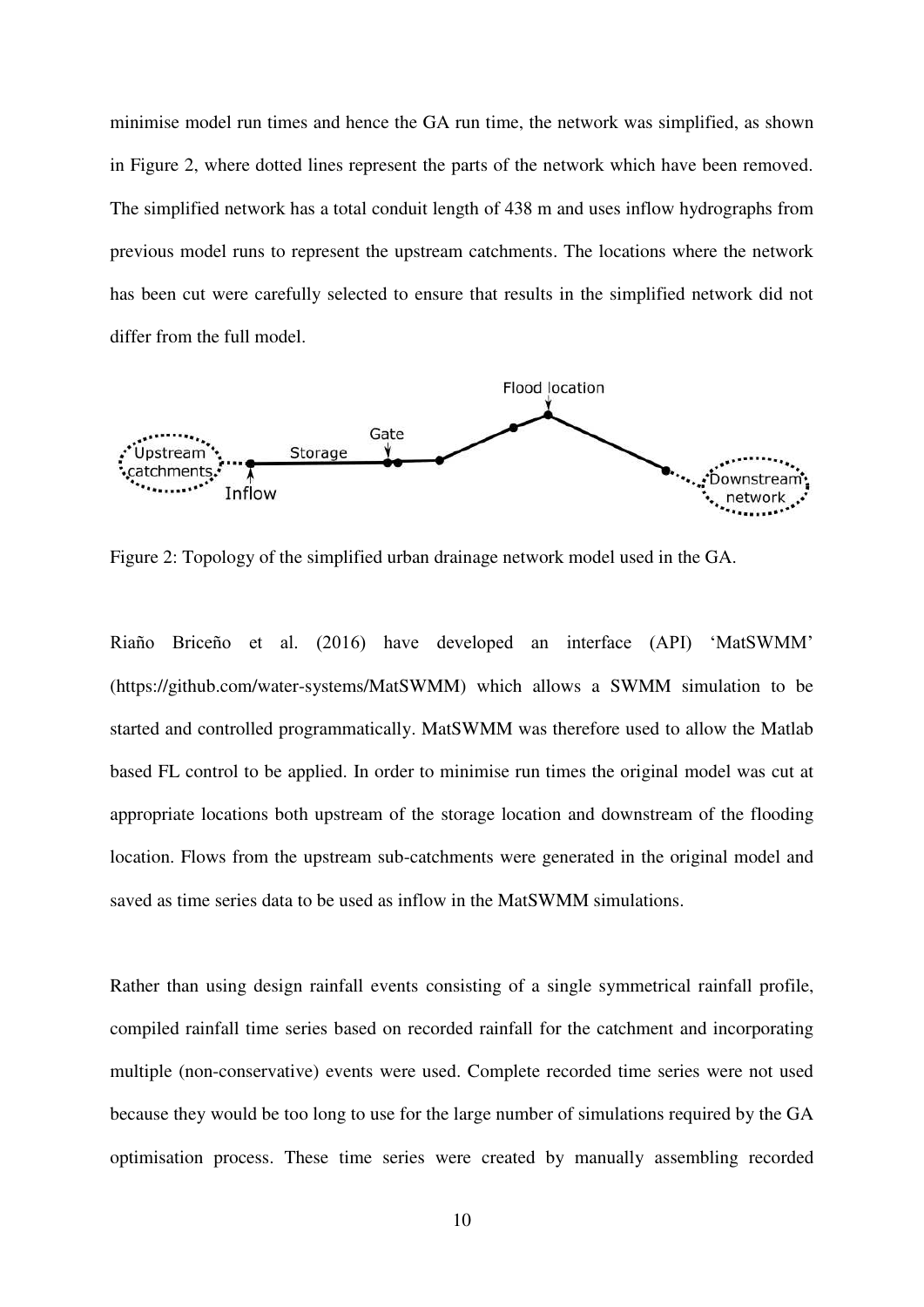minimise model run times and hence the GA run time, the network was simplified, as shown in Figure 2, where dotted lines represent the parts of the network which have been removed. The simplified network has a total conduit length of 438 m and uses inflow hydrographs from previous model runs to represent the upstream catchments. The locations where the network has been cut were carefully selected to ensure that results in the simplified network did not differ from the full model.



Figure 2: Topology of the simplified urban drainage network model used in the GA.

Riaño Briceño et al. (2016) have developed an interface (API) 'MatSWMM' (https://github.com/water-systems/MatSWMM) which allows a SWMM simulation to be started and controlled programmatically. MatSWMM was therefore used to allow the Matlab based FL control to be applied. In order to minimise run times the original model was cut at appropriate locations both upstream of the storage location and downstream of the flooding location. Flows from the upstream sub-catchments were generated in the original model and saved as time series data to be used as inflow in the MatSWMM simulations.

Rather than using design rainfall events consisting of a single symmetrical rainfall profile, compiled rainfall time series based on recorded rainfall for the catchment and incorporating multiple (non-conservative) events were used. Complete recorded time series were not used because they would be too long to use for the large number of simulations required by the GA optimisation process. These time series were created by manually assembling recorded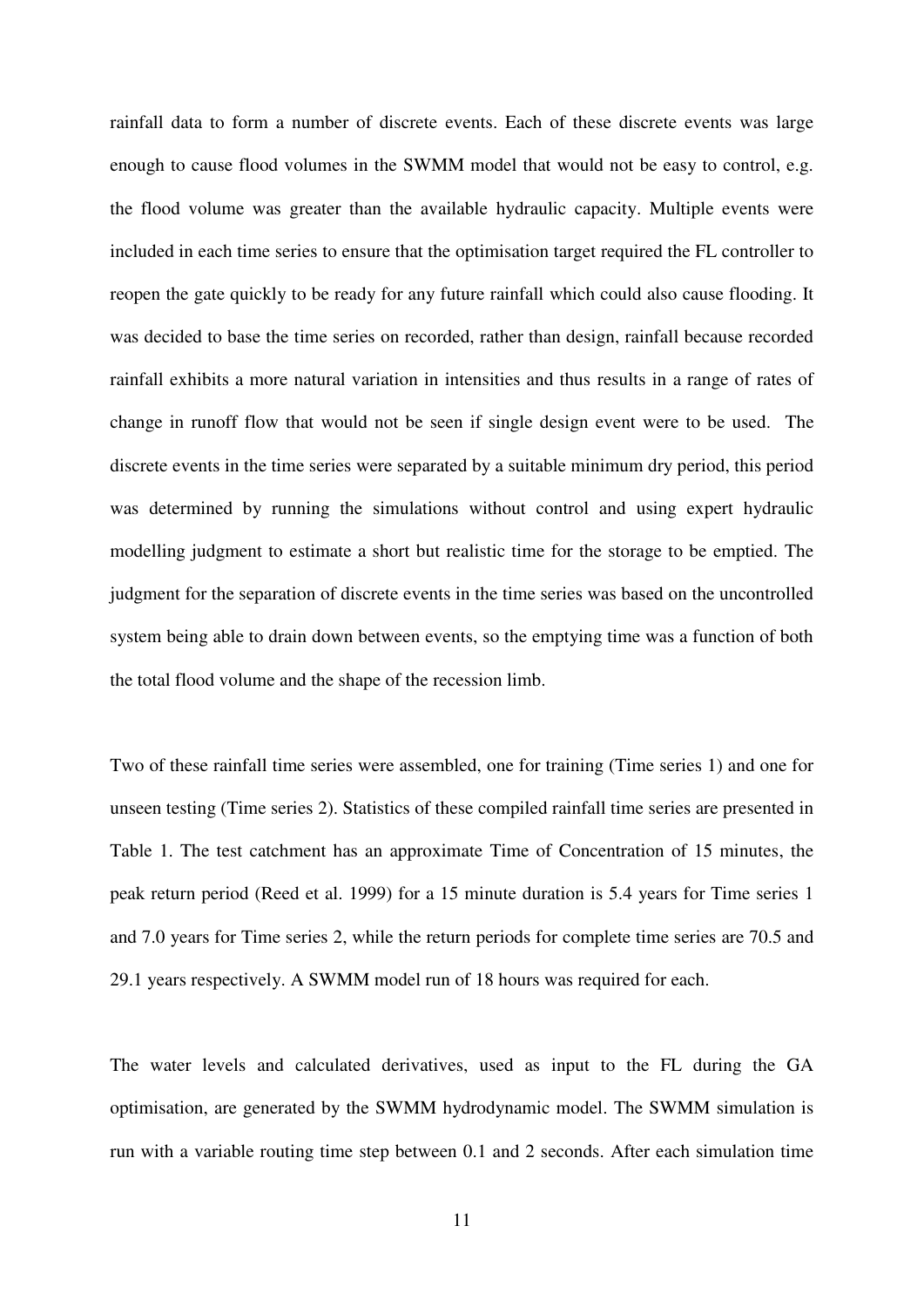rainfall data to form a number of discrete events. Each of these discrete events was large enough to cause flood volumes in the SWMM model that would not be easy to control, e.g. the flood volume was greater than the available hydraulic capacity. Multiple events were included in each time series to ensure that the optimisation target required the FL controller to reopen the gate quickly to be ready for any future rainfall which could also cause flooding. It was decided to base the time series on recorded, rather than design, rainfall because recorded rainfall exhibits a more natural variation in intensities and thus results in a range of rates of change in runoff flow that would not be seen if single design event were to be used. The discrete events in the time series were separated by a suitable minimum dry period, this period was determined by running the simulations without control and using expert hydraulic modelling judgment to estimate a short but realistic time for the storage to be emptied. The judgment for the separation of discrete events in the time series was based on the uncontrolled system being able to drain down between events, so the emptying time was a function of both the total flood volume and the shape of the recession limb.

Two of these rainfall time series were assembled, one for training (Time series 1) and one for unseen testing (Time series 2). Statistics of these compiled rainfall time series are presented in Table 1. The test catchment has an approximate Time of Concentration of 15 minutes, the peak return period (Reed et al. 1999) for a 15 minute duration is 5.4 years for Time series 1 and 7.0 years for Time series 2, while the return periods for complete time series are 70.5 and 29.1 years respectively. A SWMM model run of 18 hours was required for each.

The water levels and calculated derivatives, used as input to the FL during the GA optimisation, are generated by the SWMM hydrodynamic model. The SWMM simulation is run with a variable routing time step between 0.1 and 2 seconds. After each simulation time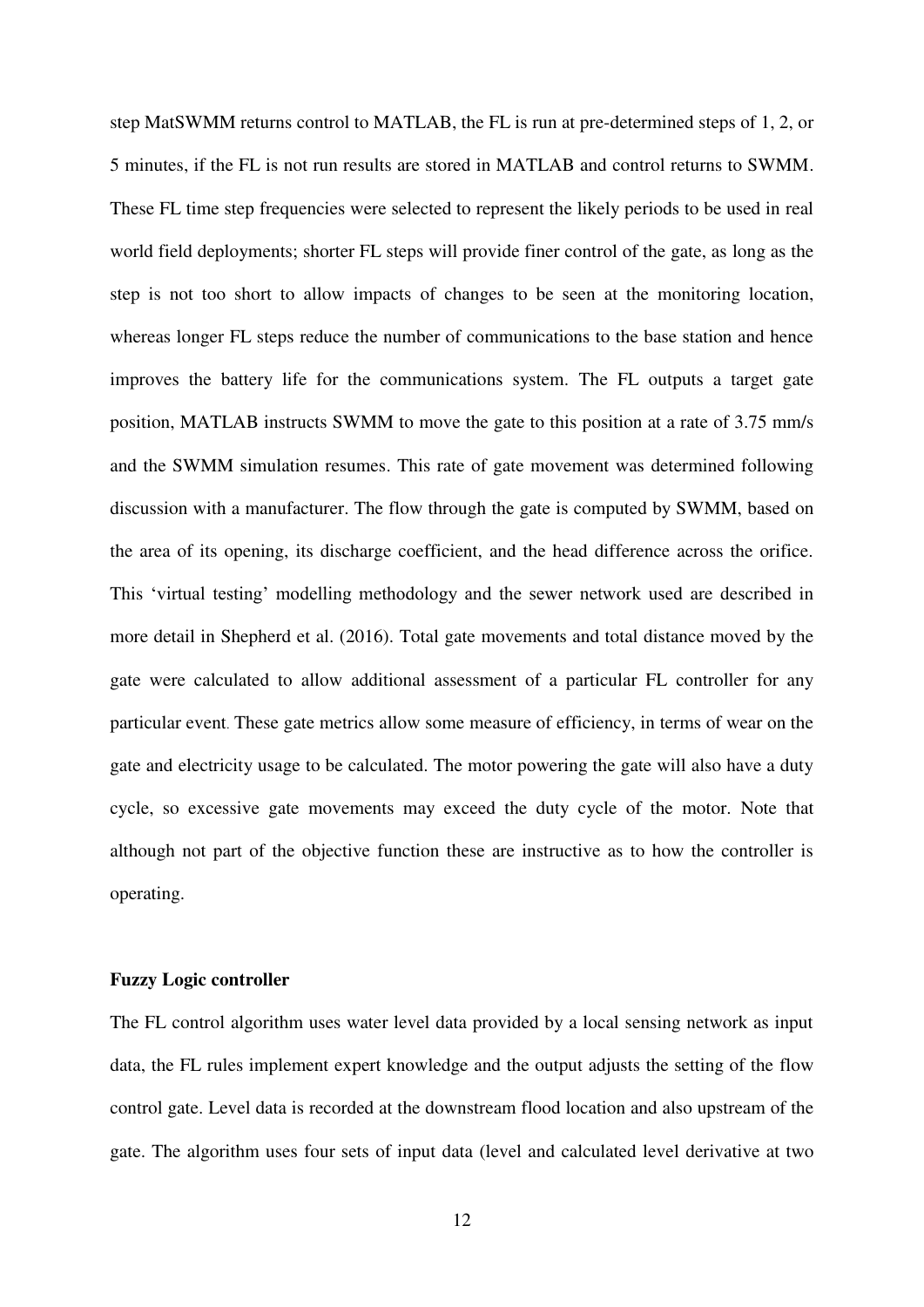step MatSWMM returns control to MATLAB, the FL is run at pre-determined steps of 1, 2, or 5 minutes, if the FL is not run results are stored in MATLAB and control returns to SWMM. These FL time step frequencies were selected to represent the likely periods to be used in real world field deployments; shorter FL steps will provide finer control of the gate, as long as the step is not too short to allow impacts of changes to be seen at the monitoring location, whereas longer FL steps reduce the number of communications to the base station and hence improves the battery life for the communications system. The FL outputs a target gate position, MATLAB instructs SWMM to move the gate to this position at a rate of 3.75 mm/s and the SWMM simulation resumes. This rate of gate movement was determined following discussion with a manufacturer. The flow through the gate is computed by SWMM, based on the area of its opening, its discharge coefficient, and the head difference across the orifice. This 'virtual testing' modelling methodology and the sewer network used are described in more detail in Shepherd et al. (2016). Total gate movements and total distance moved by the gate were calculated to allow additional assessment of a particular FL controller for any particular event. These gate metrics allow some measure of efficiency, in terms of wear on the gate and electricity usage to be calculated. The motor powering the gate will also have a duty cycle, so excessive gate movements may exceed the duty cycle of the motor. Note that although not part of the objective function these are instructive as to how the controller is operating.

#### **Fuzzy Logic controller**

The FL control algorithm uses water level data provided by a local sensing network as input data, the FL rules implement expert knowledge and the output adjusts the setting of the flow control gate. Level data is recorded at the downstream flood location and also upstream of the gate. The algorithm uses four sets of input data (level and calculated level derivative at two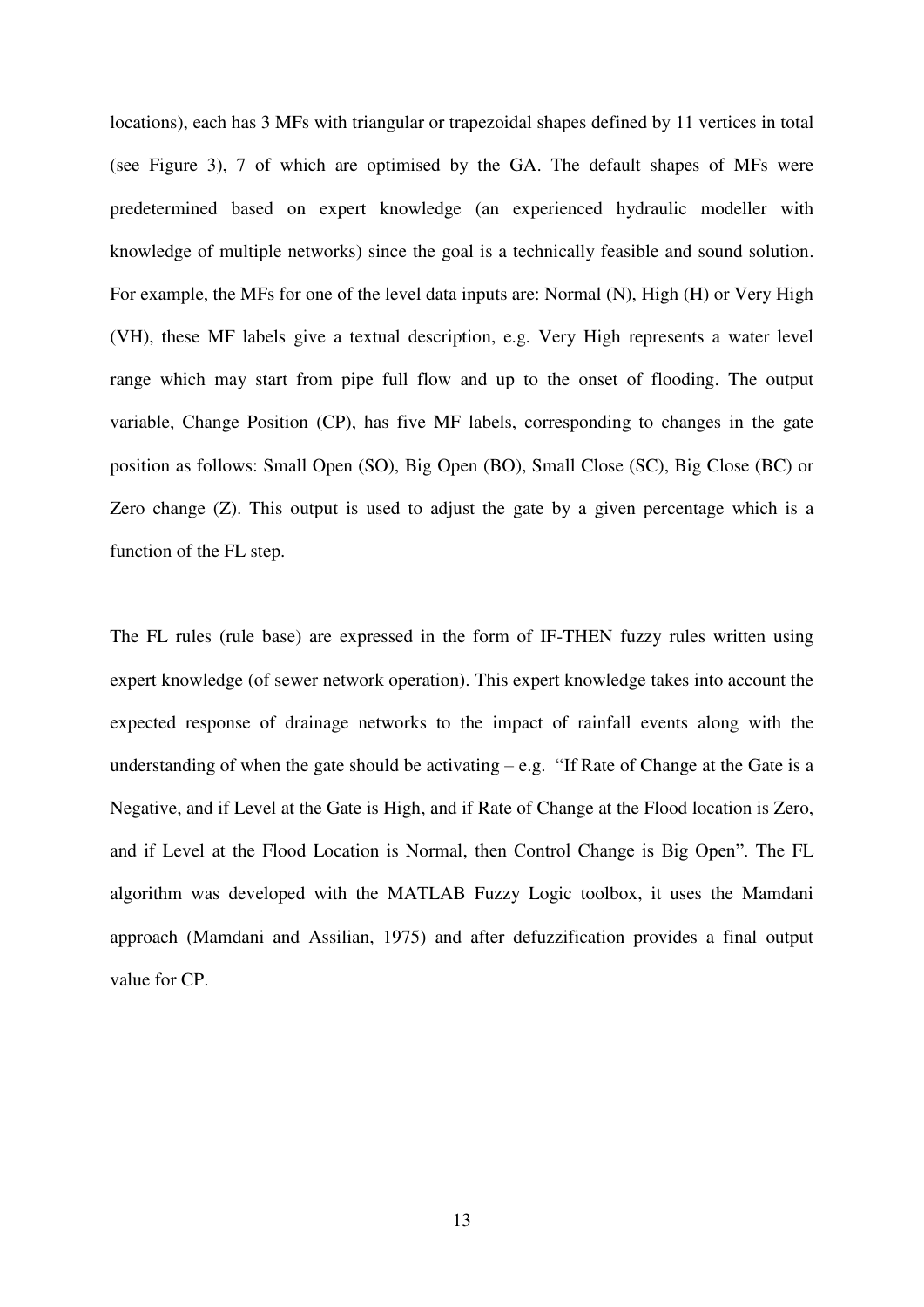locations), each has 3 MFs with triangular or trapezoidal shapes defined by 11 vertices in total (see Figure 3), 7 of which are optimised by the GA. The default shapes of MFs were predetermined based on expert knowledge (an experienced hydraulic modeller with knowledge of multiple networks) since the goal is a technically feasible and sound solution. For example, the MFs for one of the level data inputs are: Normal (N), High (H) or Very High (VH), these MF labels give a textual description, e.g. Very High represents a water level range which may start from pipe full flow and up to the onset of flooding. The output variable, Change Position (CP), has five MF labels, corresponding to changes in the gate position as follows: Small Open (SO), Big Open (BO), Small Close (SC), Big Close (BC) or Zero change (Z). This output is used to adjust the gate by a given percentage which is a function of the FL step.

The FL rules (rule base) are expressed in the form of IF-THEN fuzzy rules written using expert knowledge (of sewer network operation). This expert knowledge takes into account the expected response of drainage networks to the impact of rainfall events along with the understanding of when the gate should be activating  $-e.g.$  "If Rate of Change at the Gate is a Negative, and if Level at the Gate is High, and if Rate of Change at the Flood location is Zero, and if Level at the Flood Location is Normal, then Control Change is Big Open". The FL algorithm was developed with the MATLAB Fuzzy Logic toolbox, it uses the Mamdani approach (Mamdani and Assilian, 1975) and after defuzzification provides a final output value for CP.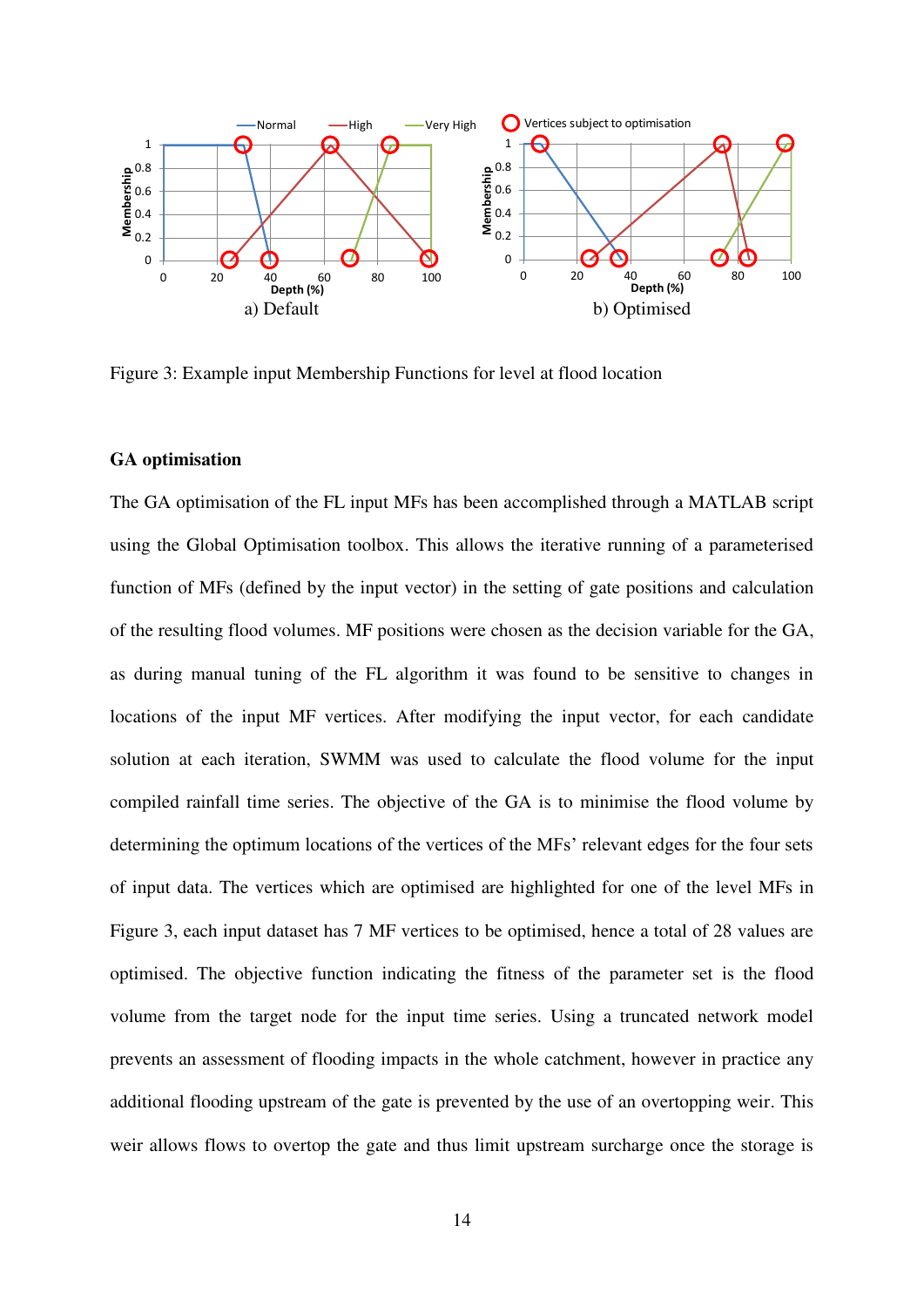

Figure 3: Example input Membership Functions for level at flood location

#### **GA optimisation**

The GA optimisation of the FL input MFs has been accomplished through a MATLAB script using the Global Optimisation toolbox. This allows the iterative running of a parameterised function of MFs (defined by the input vector) in the setting of gate positions and calculation of the resulting flood volumes. MF positions were chosen as the decision variable for the GA, as during manual tuning of the FL algorithm it was found to be sensitive to changes in locations of the input MF vertices. After modifying the input vector, for each candidate solution at each iteration, SWMM was used to calculate the flood volume for the input compiled rainfall time series. The objective of the GA is to minimise the flood volume by determining the optimum locations of the vertices of the MFs' relevant edges for the four sets of input data. The vertices which are optimised are highlighted for one of the level MFs in Figure 3, each input dataset has 7 MF vertices to be optimised, hence a total of 28 values are optimised. The objective function indicating the fitness of the parameter set is the flood volume from the target node for the input time series. Using a truncated network model prevents an assessment of flooding impacts in the whole catchment, however in practice any additional flooding upstream of the gate is prevented by the use of an overtopping weir. This weir allows flows to overtop the gate and thus limit upstream surcharge once the storage is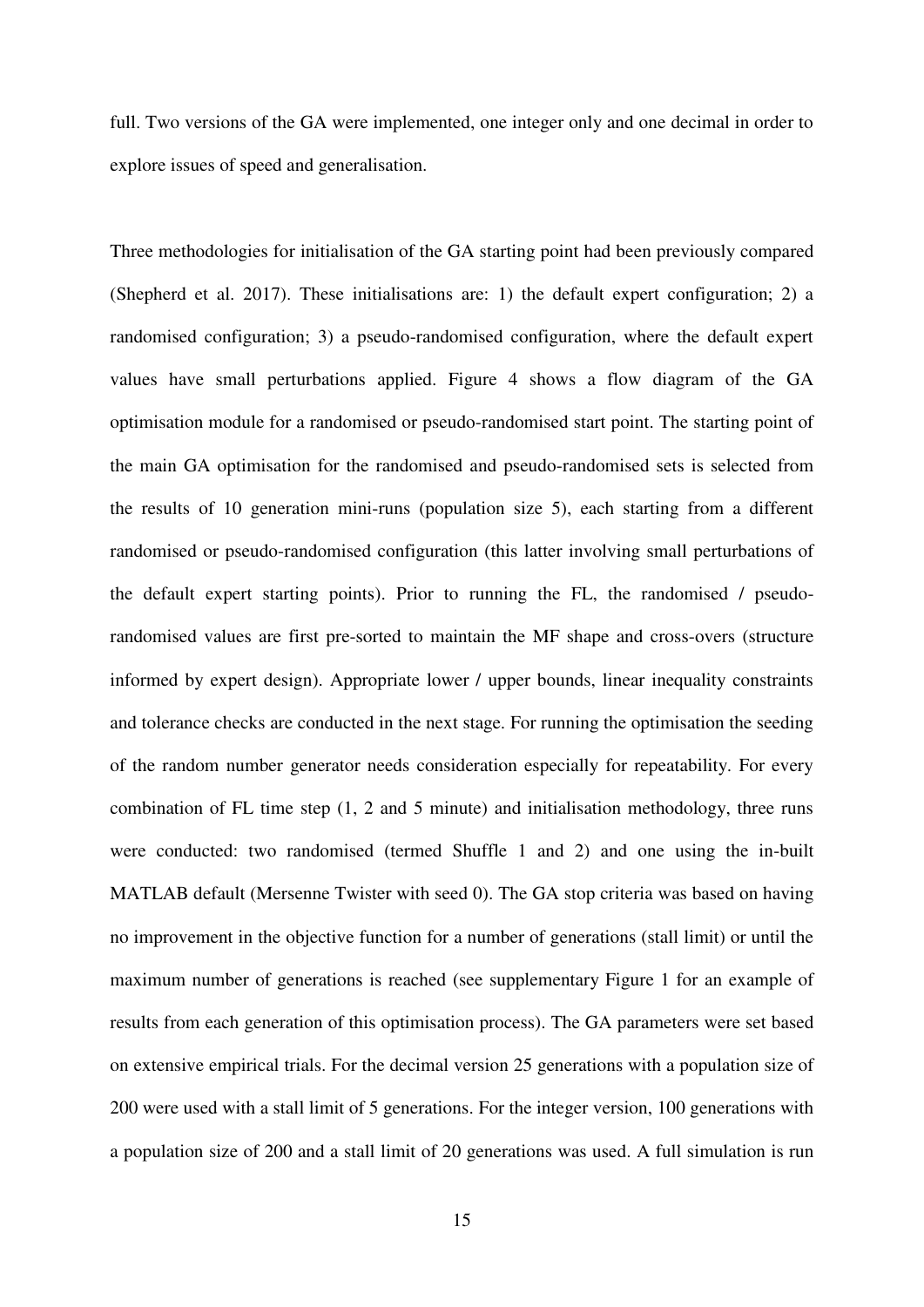full. Two versions of the GA were implemented, one integer only and one decimal in order to explore issues of speed and generalisation.

Three methodologies for initialisation of the GA starting point had been previously compared (Shepherd et al. 2017). These initialisations are: 1) the default expert configuration; 2) a randomised configuration; 3) a pseudo-randomised configuration, where the default expert values have small perturbations applied. Figure 4 shows a flow diagram of the GA optimisation module for a randomised or pseudo-randomised start point. The starting point of the main GA optimisation for the randomised and pseudo-randomised sets is selected from the results of 10 generation mini-runs (population size 5), each starting from a different randomised or pseudo-randomised configuration (this latter involving small perturbations of the default expert starting points). Prior to running the FL, the randomised / pseudorandomised values are first pre-sorted to maintain the MF shape and cross-overs (structure informed by expert design). Appropriate lower / upper bounds, linear inequality constraints and tolerance checks are conducted in the next stage. For running the optimisation the seeding of the random number generator needs consideration especially for repeatability. For every combination of FL time step (1, 2 and 5 minute) and initialisation methodology, three runs were conducted: two randomised (termed Shuffle 1 and 2) and one using the in-built MATLAB default (Mersenne Twister with seed 0). The GA stop criteria was based on having no improvement in the objective function for a number of generations (stall limit) or until the maximum number of generations is reached (see supplementary Figure 1 for an example of results from each generation of this optimisation process). The GA parameters were set based on extensive empirical trials. For the decimal version 25 generations with a population size of 200 were used with a stall limit of 5 generations. For the integer version, 100 generations with a population size of 200 and a stall limit of 20 generations was used. A full simulation is run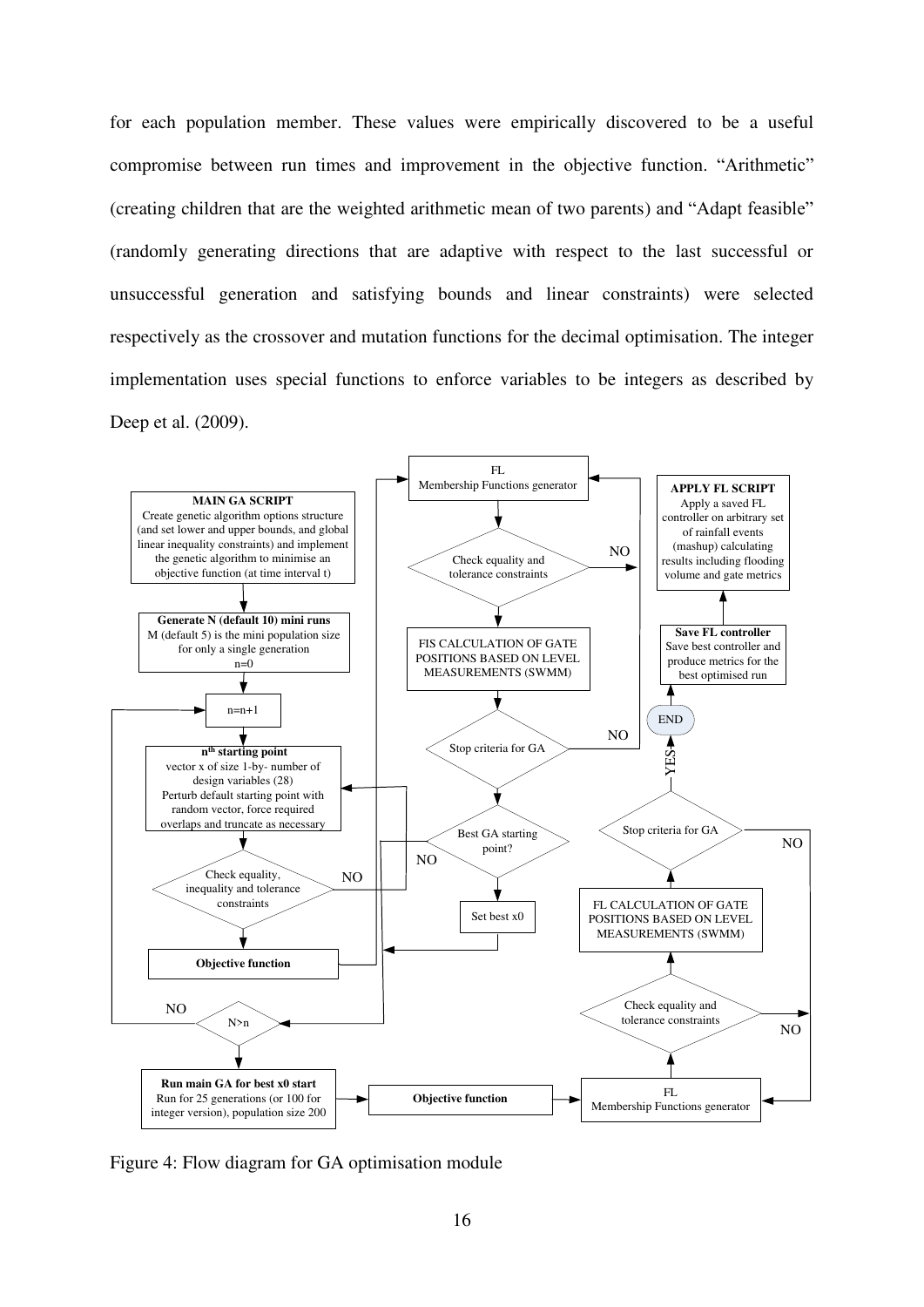for each population member. These values were empirically discovered to be a useful compromise between run times and improvement in the objective function. "Arithmetic" (creating children that are the weighted arithmetic mean of two parents) and "Adapt feasible" (randomly generating directions that are adaptive with respect to the last successful or unsuccessful generation and satisfying bounds and linear constraints) were selected respectively as the crossover and mutation functions for the decimal optimisation. The integer implementation uses special functions to enforce variables to be integers as described by Deep et al. (2009).



Figure 4: Flow diagram for GA optimisation module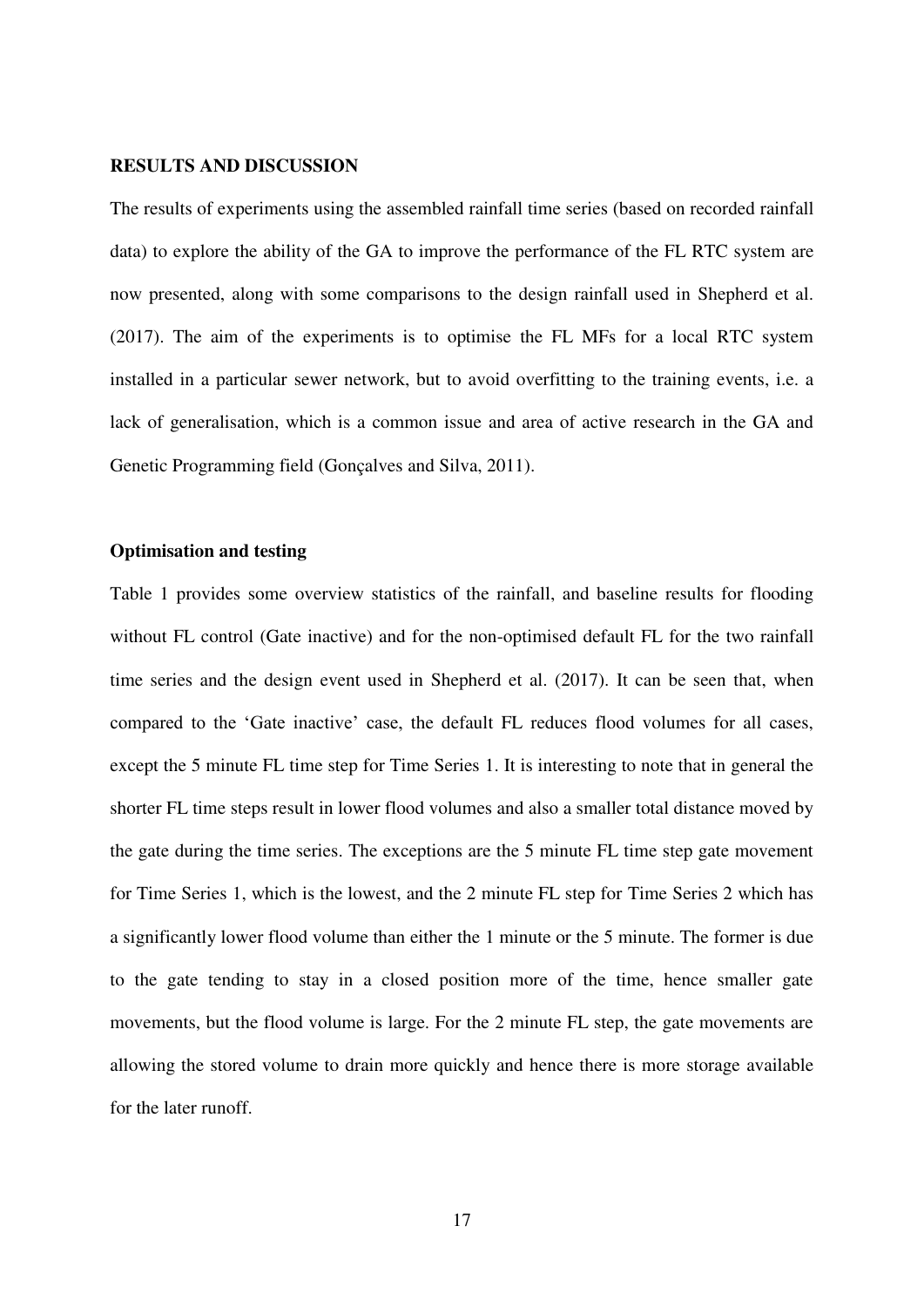#### **RESULTS AND DISCUSSION**

The results of experiments using the assembled rainfall time series (based on recorded rainfall data) to explore the ability of the GA to improve the performance of the FL RTC system are now presented, along with some comparisons to the design rainfall used in Shepherd et al. (2017). The aim of the experiments is to optimise the FL MFs for a local RTC system installed in a particular sewer network, but to avoid overfitting to the training events, i.e. a lack of generalisation, which is a common issue and area of active research in the GA and Genetic Programming field (Gonçalves and Silva, 2011).

# **Optimisation and testing**

Table 1 provides some overview statistics of the rainfall, and baseline results for flooding without FL control (Gate inactive) and for the non-optimised default FL for the two rainfall time series and the design event used in Shepherd et al. (2017). It can be seen that, when compared to the 'Gate inactive' case, the default FL reduces flood volumes for all cases, except the 5 minute FL time step for Time Series 1. It is interesting to note that in general the shorter FL time steps result in lower flood volumes and also a smaller total distance moved by the gate during the time series. The exceptions are the 5 minute FL time step gate movement for Time Series 1, which is the lowest, and the 2 minute FL step for Time Series 2 which has a significantly lower flood volume than either the 1 minute or the 5 minute. The former is due to the gate tending to stay in a closed position more of the time, hence smaller gate movements, but the flood volume is large. For the 2 minute FL step, the gate movements are allowing the stored volume to drain more quickly and hence there is more storage available for the later runoff.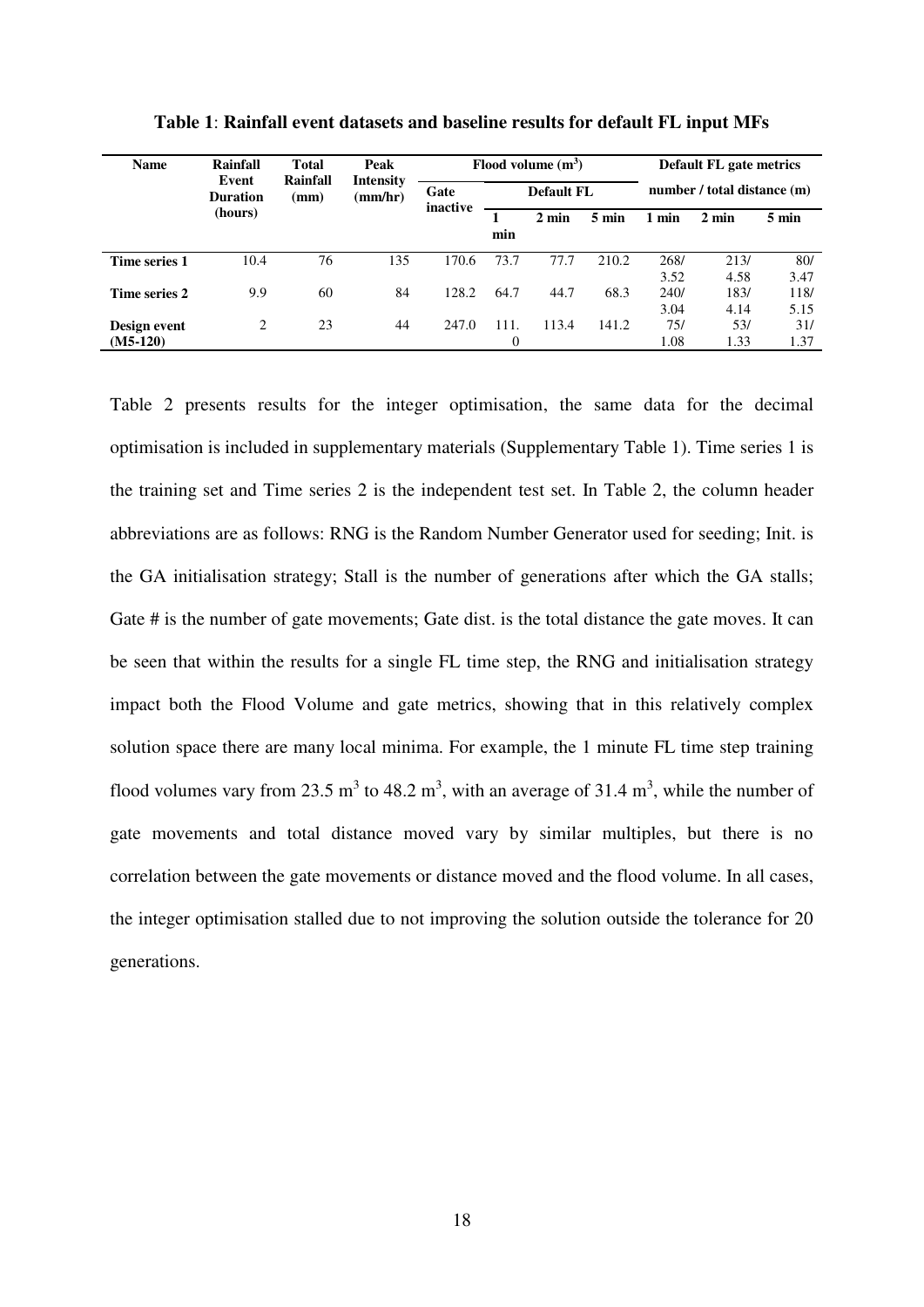| <b>Name</b>                | Rainfall<br>Event<br><b>Duration</b><br>(hours) | <b>Total</b><br>Rainfall<br>(mm) | Peak<br>Intensity<br>(mm/hr) | Flood volume $(m^3)$ |                   |                 |                 | <b>Default FL gate metrics</b> |                 |              |
|----------------------------|-------------------------------------------------|----------------------------------|------------------------------|----------------------|-------------------|-----------------|-----------------|--------------------------------|-----------------|--------------|
|                            |                                                 |                                  |                              | Gate<br>inactive     | <b>Default FL</b> |                 |                 | number / total distance (m)    |                 |              |
|                            |                                                 |                                  |                              |                      | min               | $2 \text{ min}$ | $5 \text{ min}$ | 1 min                          | $2 \text{ min}$ | 5 min        |
| Time series 1              | 10.4                                            | 76                               | 135                          | 170.6                | 73.7              | 77.7            | 210.2           | 268/<br>3.52                   | 213/<br>4.58    | 80/<br>3.47  |
| Time series 2              | 9.9                                             | 60                               | 84                           | 128.2                | 64.7              | 44.7            | 68.3            | 240/<br>3.04                   | 183/<br>4.14    | 118/<br>5.15 |
| Design event<br>$(M5-120)$ | 2                                               | 23                               | 44                           | 247.0                | 111.<br>$\Omega$  | 113.4           | 141.2           | 75/<br>1.08                    | 53/<br>1.33     | 31/<br>1.37  |

**Table 1**: **Rainfall event datasets and baseline results for default FL input MFs** 

Table 2 presents results for the integer optimisation, the same data for the decimal optimisation is included in supplementary materials (Supplementary Table 1). Time series 1 is the training set and Time series 2 is the independent test set. In Table 2, the column header abbreviations are as follows: RNG is the Random Number Generator used for seeding; Init. is the GA initialisation strategy; Stall is the number of generations after which the GA stalls; Gate # is the number of gate movements; Gate dist. is the total distance the gate moves. It can be seen that within the results for a single FL time step, the RNG and initialisation strategy impact both the Flood Volume and gate metrics, showing that in this relatively complex solution space there are many local minima. For example, the 1 minute FL time step training flood volumes vary from 23.5  $m<sup>3</sup>$  to 48.2  $m<sup>3</sup>$ , with an average of 31.4  $m<sup>3</sup>$ , while the number of gate movements and total distance moved vary by similar multiples, but there is no correlation between the gate movements or distance moved and the flood volume. In all cases, the integer optimisation stalled due to not improving the solution outside the tolerance for 20 generations.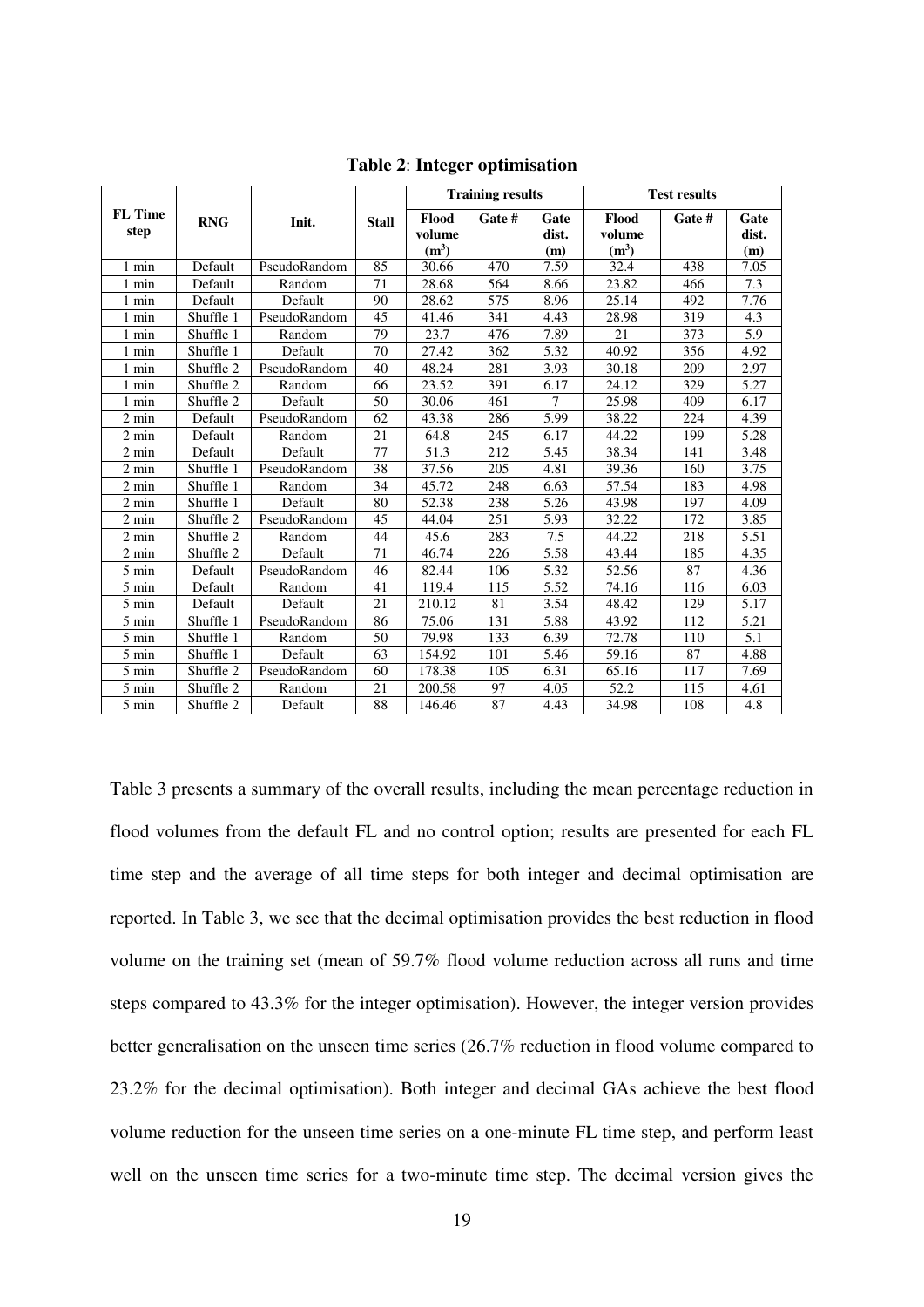|                        | <b>RNG</b> | Init.        | <b>Stall</b> |                            | <b>Training results</b> |               | <b>Test results</b> |        |               |
|------------------------|------------|--------------|--------------|----------------------------|-------------------------|---------------|---------------------|--------|---------------|
| <b>FL</b> Time<br>step |            |              |              | Flood<br>volume<br>$(m^3)$ | Gate #                  | Gate<br>dist. | Flood<br>volume     | Gate # | Gate<br>dist. |
| $1$ min                | Default    | PseudoRandom | 85           | 30.66                      | 470                     | (m)<br>7.59   | $(m^3)$<br>32.4     | 438    | (m)<br>7.05   |
|                        |            |              |              |                            |                         |               |                     |        |               |
| 1 min                  | Default    | Random       | 71           | 28.68                      | 564                     | 8.66          | 23.82               | 466    | 7.3           |
| 1 min                  | Default    | Default      | 90           | 28.62                      | 575                     | 8.96          | 25.14               | 492    | 7.76          |
| 1 min                  | Shuffle 1  | PseudoRandom | 45           | 41.46                      | 341                     | 4.43          | 28.98               | 319    | 4.3           |
| $1$ min                | Shuffle 1  | Random       | 79           | 23.7                       | 476                     | 7.89          | 21                  | 373    | 5.9           |
| 1 min                  | Shuffle 1  | Default      | 70           | 27.42                      | 362                     | 5.32          | 40.92               | 356    | 4.92          |
| 1 min                  | Shuffle 2  | PseudoRandom | 40           | 48.24                      | 281                     | 3.93          | 30.18               | 209    | 2.97          |
| 1 min                  | Shuffle 2  | Random       | 66           | 23.52                      | 391                     | 6.17          | 24.12               | 329    | 5.27          |
| $1$ min                | Shuffle 2  | Default      | 50           | 30.06                      | 461                     | $\tau$        | 25.98               | 409    | 6.17          |
| 2 min                  | Default    | PseudoRandom | 62           | 43.38                      | 286                     | 5.99          | 38.22               | 224    | 4.39          |
| 2 min                  | Default    | Random       | 21           | 64.8                       | 245                     | 6.17          | 44.22               | 199    | 5.28          |
| $2 \text{ min}$        | Default    | Default      | 77           | 51.3                       | 212                     | 5.45          | 38.34               | 141    | 3.48          |
| $2 \text{ min}$        | Shuffle 1  | PseudoRandom | 38           | 37.56                      | 205                     | 4.81          | 39.36               | 160    | 3.75          |
| 2 min                  | Shuffle 1  | Random       | 34           | 45.72                      | 248                     | 6.63          | 57.54               | 183    | 4.98          |
| 2 min                  | Shuffle 1  | Default      | 80           | 52.38                      | 238                     | 5.26          | 43.98               | 197    | 4.09          |
| 2 min                  | Shuffle 2  | PseudoRandom | 45           | 44.04                      | 251                     | 5.93          | 32.22               | 172    | 3.85          |
| $2 \text{ min}$        | Shuffle 2  | Random       | 44           | 45.6                       | 283                     | 7.5           | 44.22               | 218    | 5.51          |
| $2 \text{ min}$        | Shuffle 2  | Default      | 71           | 46.74                      | 226                     | 5.58          | 43.44               | 185    | 4.35          |
| $5 \text{ min}$        | Default    | PseudoRandom | 46           | 82.44                      | 106                     | 5.32          | 52.56               | 87     | 4.36          |
| 5 min                  | Default    | Random       | 41           | 119.4                      | 115                     | 5.52          | 74.16               | 116    | 6.03          |
| 5 min                  | Default    | Default      | 21           | 210.12                     | 81                      | 3.54          | 48.42               | 129    | 5.17          |
| 5 min                  | Shuffle 1  | PseudoRandom | 86           | 75.06                      | 131                     | 5.88          | 43.92               | 112    | 5.21          |
| 5 min                  | Shuffle 1  | Random       | 50           | 79.98                      | 133                     | 6.39          | 72.78               | 110    | 5.1           |
| $5 \ \mathrm{min}$     | Shuffle 1  | Default      | 63           | 154.92                     | 101                     | 5.46          | 59.16               | 87     | 4.88          |
| 5 min                  | Shuffle 2  | PseudoRandom | 60           | 178.38                     | 105                     | 6.31          | 65.16               | 117    | 7.69          |
| 5 min                  | Shuffle 2  | Random       | 21           | 200.58                     | 97                      | 4.05          | 52.2                | 115    | 4.61          |
| $5 \text{ min}$        | Shuffle 2  | Default      | 88           | 146.46                     | 87                      | 4.43          | 34.98               | 108    | 4.8           |

**Table 2**: **Integer optimisation** 

Table 3 presents a summary of the overall results, including the mean percentage reduction in flood volumes from the default FL and no control option; results are presented for each FL time step and the average of all time steps for both integer and decimal optimisation are reported. In Table 3, we see that the decimal optimisation provides the best reduction in flood volume on the training set (mean of 59.7% flood volume reduction across all runs and time steps compared to 43.3% for the integer optimisation). However, the integer version provides better generalisation on the unseen time series (26.7% reduction in flood volume compared to 23.2% for the decimal optimisation). Both integer and decimal GAs achieve the best flood volume reduction for the unseen time series on a one-minute FL time step, and perform least well on the unseen time series for a two-minute time step. The decimal version gives the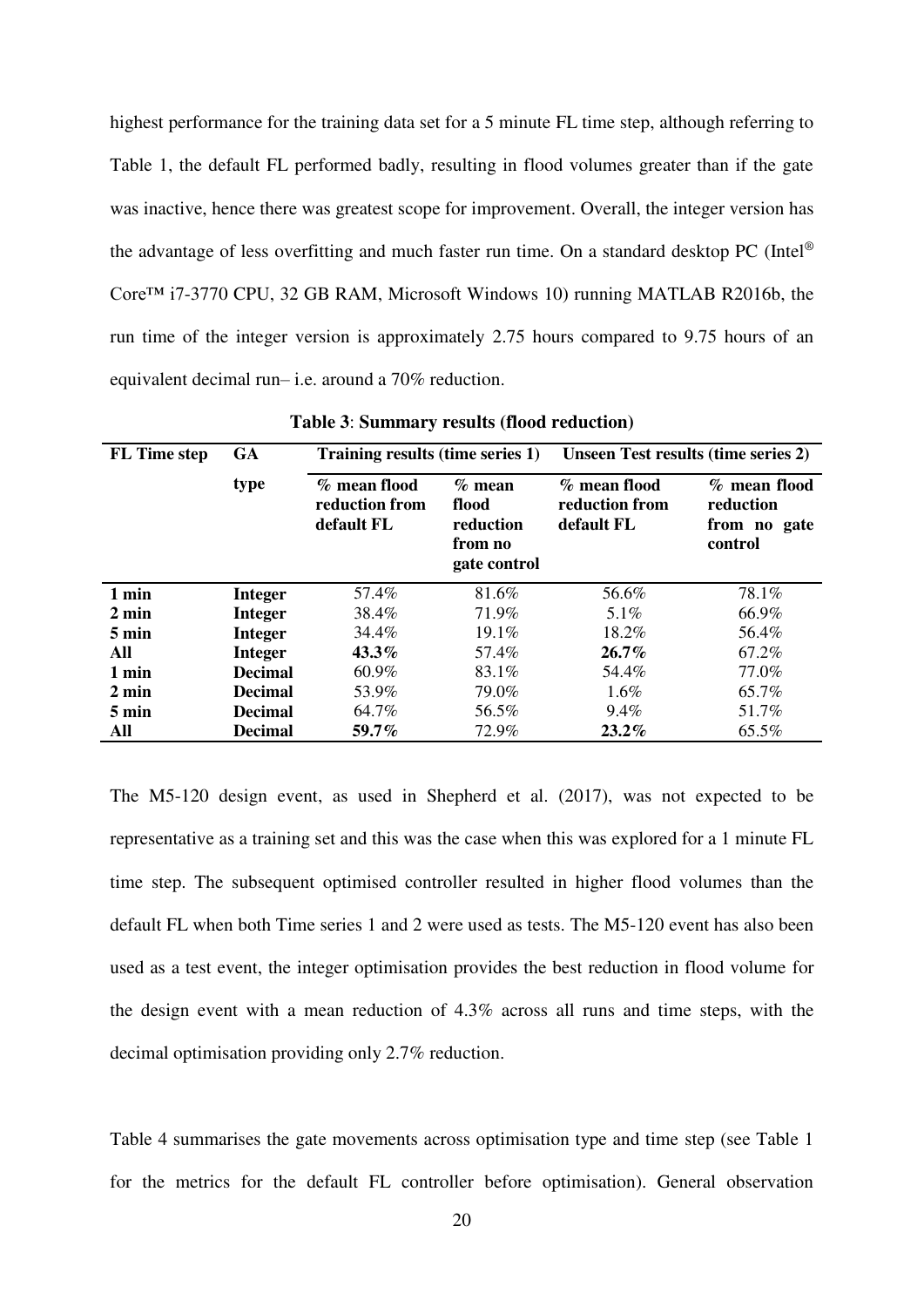highest performance for the training data set for a 5 minute FL time step, although referring to Table 1, the default FL performed badly, resulting in flood volumes greater than if the gate was inactive, hence there was greatest scope for improvement. Overall, the integer version has the advantage of less overfitting and much faster run time. On a standard desktop PC (Intel® Core™ i7-3770 CPU, 32 GB RAM, Microsoft Windows 10) running MATLAB R2016b, the run time of the integer version is approximately 2.75 hours compared to 9.75 hours of an equivalent decimal run– i.e. around a 70% reduction.

| <b>FL</b> Time step | <b>GA</b>      | Training results (time series 1)             |                                                           | <b>Unseen Test results (time series 2)</b>   |                                                      |  |  |
|---------------------|----------------|----------------------------------------------|-----------------------------------------------------------|----------------------------------------------|------------------------------------------------------|--|--|
|                     | type           | % mean flood<br>reduction from<br>default FL | $%$ mean<br>flood<br>reduction<br>from no<br>gate control | % mean flood<br>reduction from<br>default FL | % mean flood<br>reduction<br>from no gate<br>control |  |  |
| 1 min               | <b>Integer</b> | 57.4%                                        | 81.6%                                                     | 56.6%                                        | 78.1%                                                |  |  |
| $2 \text{ min}$     | <b>Integer</b> | 38.4%                                        | 71.9%                                                     | $5.1\%$                                      | 66.9%                                                |  |  |
| $5 \text{ min}$     | <b>Integer</b> | 34.4%                                        | 19.1%                                                     | 18.2%                                        | 56.4%                                                |  |  |
| All                 | <b>Integer</b> | $43.3\%$                                     | 57.4%                                                     | $26.7\%$                                     | 67.2%                                                |  |  |
| 1 min               | <b>Decimal</b> | $60.9\%$                                     | 83.1%                                                     | 54.4%                                        | 77.0%                                                |  |  |
| $2 \text{ min}$     | <b>Decimal</b> | 53.9%                                        | 79.0%                                                     | $1.6\%$                                      | 65.7%                                                |  |  |
| $5 \text{ min}$     | <b>Decimal</b> | 64.7%                                        | 56.5%                                                     | 9.4%                                         | 51.7%                                                |  |  |
| All                 | <b>Decimal</b> | 59.7%                                        | 72.9%                                                     | $23.2\%$                                     | 65.5%                                                |  |  |

**Table 3**: **Summary results (flood reduction)**

The M5-120 design event, as used in Shepherd et al. (2017), was not expected to be representative as a training set and this was the case when this was explored for a 1 minute FL time step. The subsequent optimised controller resulted in higher flood volumes than the default FL when both Time series 1 and 2 were used as tests. The M5-120 event has also been used as a test event, the integer optimisation provides the best reduction in flood volume for the design event with a mean reduction of 4.3% across all runs and time steps, with the decimal optimisation providing only 2.7% reduction.

Table 4 summarises the gate movements across optimisation type and time step (see Table 1 for the metrics for the default FL controller before optimisation). General observation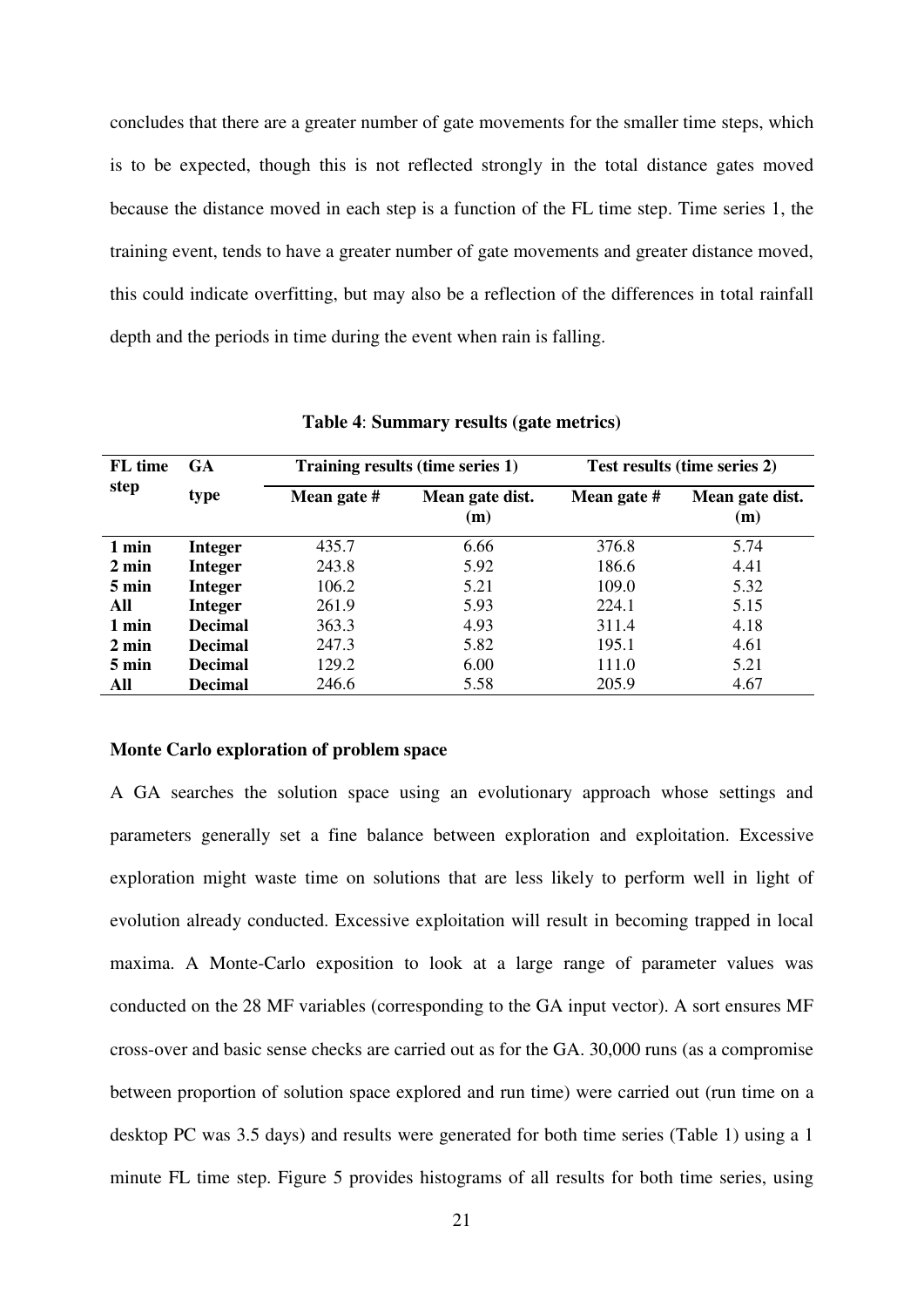concludes that there are a greater number of gate movements for the smaller time steps, which is to be expected, though this is not reflected strongly in the total distance gates moved because the distance moved in each step is a function of the FL time step. Time series 1, the training event, tends to have a greater number of gate movements and greater distance moved, this could indicate overfitting, but may also be a reflection of the differences in total rainfall depth and the periods in time during the event when rain is falling.

| FL time<br>step | <b>GA</b>      |             | Training results (time series 1) | Test results (time series 2) |                        |  |  |
|-----------------|----------------|-------------|----------------------------------|------------------------------|------------------------|--|--|
|                 | type           | Mean gate # | Mean gate dist.<br>(m)           | Mean gate #                  | Mean gate dist.<br>(m) |  |  |
| 1 min           | <b>Integer</b> | 435.7       | 6.66                             | 376.8                        | 5.74                   |  |  |
| $2 \text{ min}$ | <b>Integer</b> | 243.8       | 5.92                             | 186.6                        | 4.41                   |  |  |
| 5 min           | <b>Integer</b> | 106.2       | 5.21                             | 109.0                        | 5.32                   |  |  |
| All             | <b>Integer</b> | 261.9       | 5.93                             | 224.1                        | 5.15                   |  |  |
| 1 min           | <b>Decimal</b> | 363.3       | 4.93                             | 311.4                        | 4.18                   |  |  |
| $2 \text{ min}$ | <b>Decimal</b> | 247.3       | 5.82                             | 195.1                        | 4.61                   |  |  |
| $5 \text{ min}$ | <b>Decimal</b> | 129.2       | 6.00                             | 111.0                        | 5.21                   |  |  |
| All             | <b>Decimal</b> | 246.6       | 5.58                             | 205.9                        | 4.67                   |  |  |

**Table 4**: **Summary results (gate metrics)** 

#### **Monte Carlo exploration of problem space**

A GA searches the solution space using an evolutionary approach whose settings and parameters generally set a fine balance between exploration and exploitation. Excessive exploration might waste time on solutions that are less likely to perform well in light of evolution already conducted. Excessive exploitation will result in becoming trapped in local maxima. A Monte-Carlo exposition to look at a large range of parameter values was conducted on the 28 MF variables (corresponding to the GA input vector). A sort ensures MF cross-over and basic sense checks are carried out as for the GA. 30,000 runs (as a compromise between proportion of solution space explored and run time) were carried out (run time on a desktop PC was 3.5 days) and results were generated for both time series (Table 1) using a 1 minute FL time step. Figure 5 provides histograms of all results for both time series, using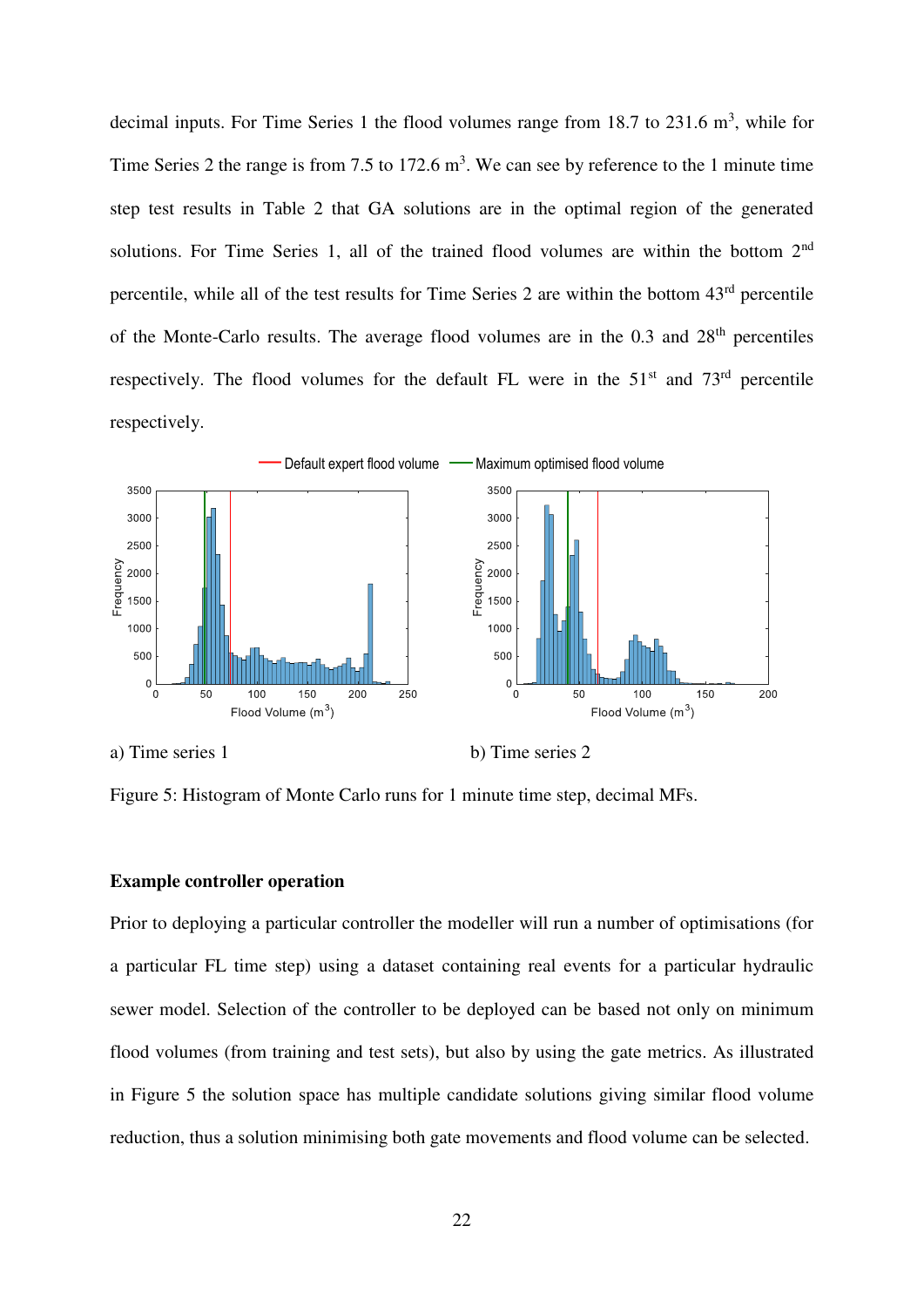decimal inputs. For Time Series 1 the flood volumes range from  $18.7$  to  $231.6$  m<sup>3</sup>, while for Time Series 2 the range is from 7.5 to 172.6  $m<sup>3</sup>$ . We can see by reference to the 1 minute time step test results in Table 2 that GA solutions are in the optimal region of the generated solutions. For Time Series 1, all of the trained flood volumes are within the bottom 2<sup>nd</sup> percentile, while all of the test results for Time Series 2 are within the bottom 43rd percentile of the Monte-Carlo results. The average flood volumes are in the  $0.3$  and  $28<sup>th</sup>$  percentiles respectively. The flood volumes for the default FL were in the  $51<sup>st</sup>$  and  $73<sup>rd</sup>$  percentile respectively.



a) Time series 1 b) Time series 2

Figure 5: Histogram of Monte Carlo runs for 1 minute time step, decimal MFs.

# **Example controller operation**

Prior to deploying a particular controller the modeller will run a number of optimisations (for a particular FL time step) using a dataset containing real events for a particular hydraulic sewer model. Selection of the controller to be deployed can be based not only on minimum flood volumes (from training and test sets), but also by using the gate metrics. As illustrated in Figure 5 the solution space has multiple candidate solutions giving similar flood volume reduction, thus a solution minimising both gate movements and flood volume can be selected.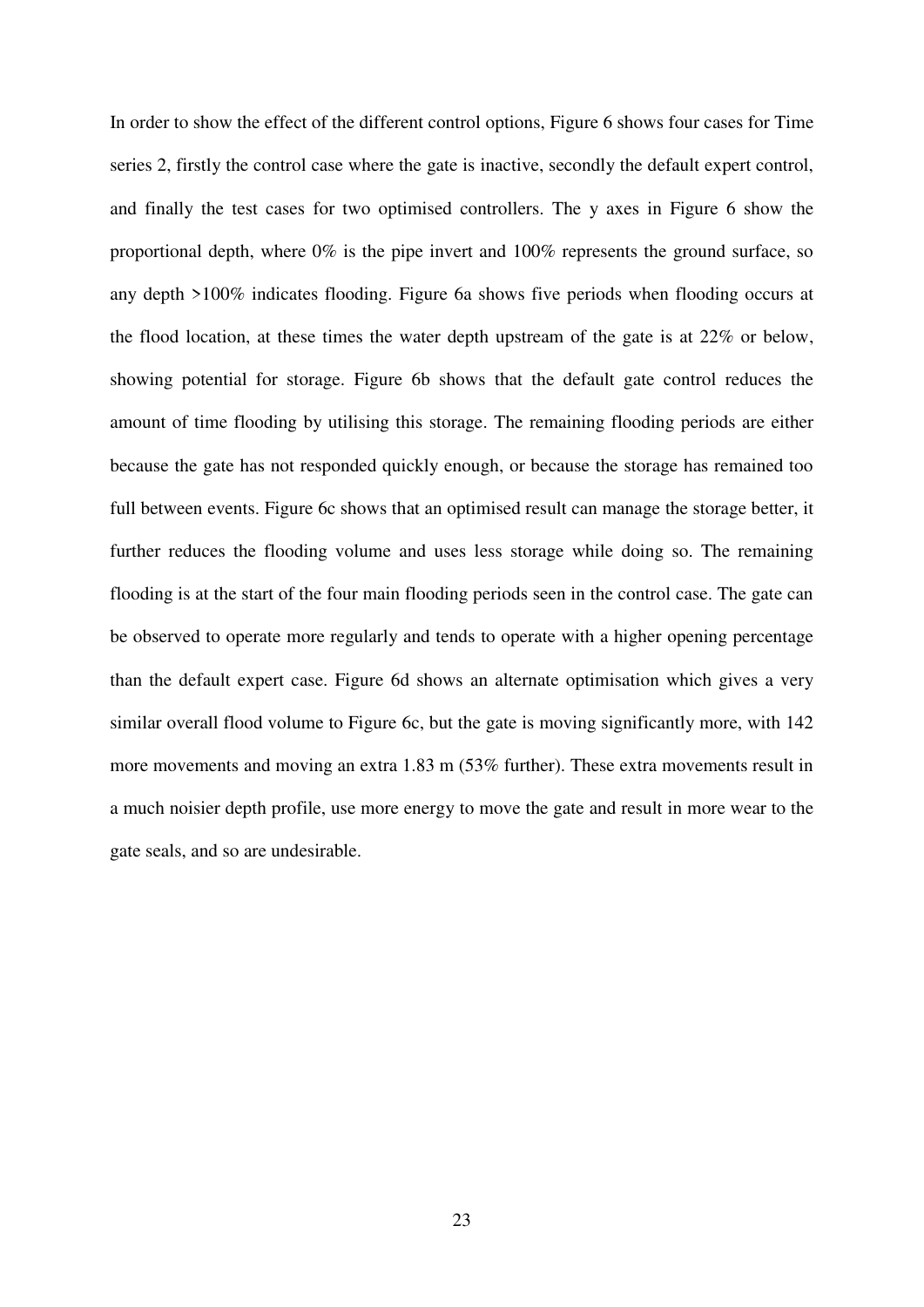In order to show the effect of the different control options, Figure 6 shows four cases for Time series 2, firstly the control case where the gate is inactive, secondly the default expert control, and finally the test cases for two optimised controllers. The y axes in Figure 6 show the proportional depth, where 0% is the pipe invert and 100% represents the ground surface, so any depth >100% indicates flooding. Figure 6a shows five periods when flooding occurs at the flood location, at these times the water depth upstream of the gate is at 22% or below, showing potential for storage. Figure 6b shows that the default gate control reduces the amount of time flooding by utilising this storage. The remaining flooding periods are either because the gate has not responded quickly enough, or because the storage has remained too full between events. Figure 6c shows that an optimised result can manage the storage better, it further reduces the flooding volume and uses less storage while doing so. The remaining flooding is at the start of the four main flooding periods seen in the control case. The gate can be observed to operate more regularly and tends to operate with a higher opening percentage than the default expert case. Figure 6d shows an alternate optimisation which gives a very similar overall flood volume to Figure 6c, but the gate is moving significantly more, with 142 more movements and moving an extra 1.83 m (53% further). These extra movements result in a much noisier depth profile, use more energy to move the gate and result in more wear to the gate seals, and so are undesirable.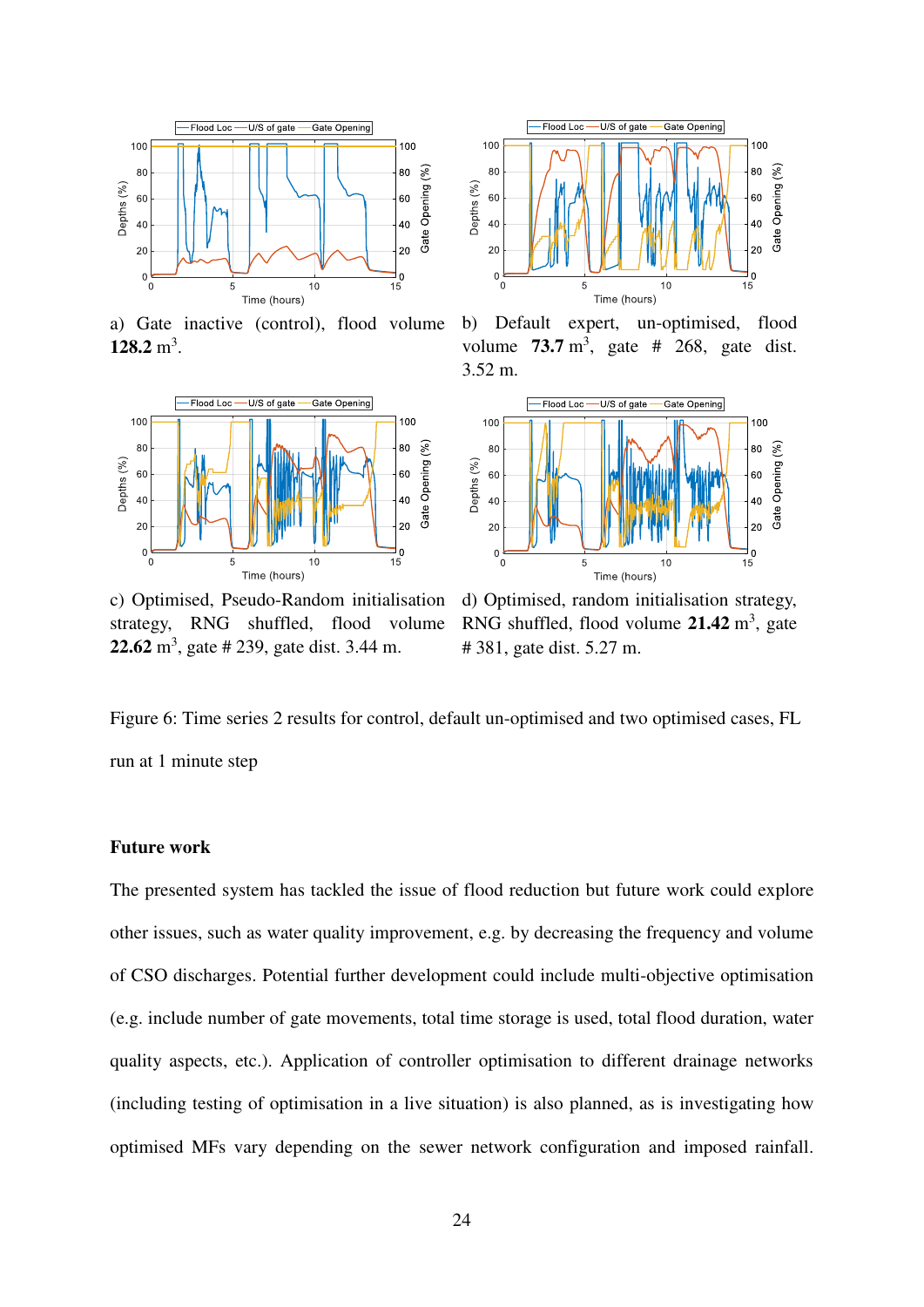

a) Gate inactive (control), flood volume **128.2** m<sup>3</sup>.



c) Optimised, Pseudo-Random initialisation strategy, RNG shuffled, flood volume **22.62** m<sup>3</sup> , gate # 239, gate dist. 3.44 m.



b) Default expert, un-optimised, flood volume  $73.7 \text{ m}^3$ , gate # 268, gate dist. 3.52 m.



d) Optimised, random initialisation strategy, RNG shuffled, flood volume 21.42 m<sup>3</sup>, gate # 381, gate dist. 5.27 m.

Figure 6: Time series 2 results for control, default un-optimised and two optimised cases, FL run at 1 minute step

#### **Future work**

The presented system has tackled the issue of flood reduction but future work could explore other issues, such as water quality improvement, e.g. by decreasing the frequency and volume of CSO discharges. Potential further development could include multi-objective optimisation (e.g. include number of gate movements, total time storage is used, total flood duration, water quality aspects, etc.). Application of controller optimisation to different drainage networks (including testing of optimisation in a live situation) is also planned, as is investigating how optimised MFs vary depending on the sewer network configuration and imposed rainfall.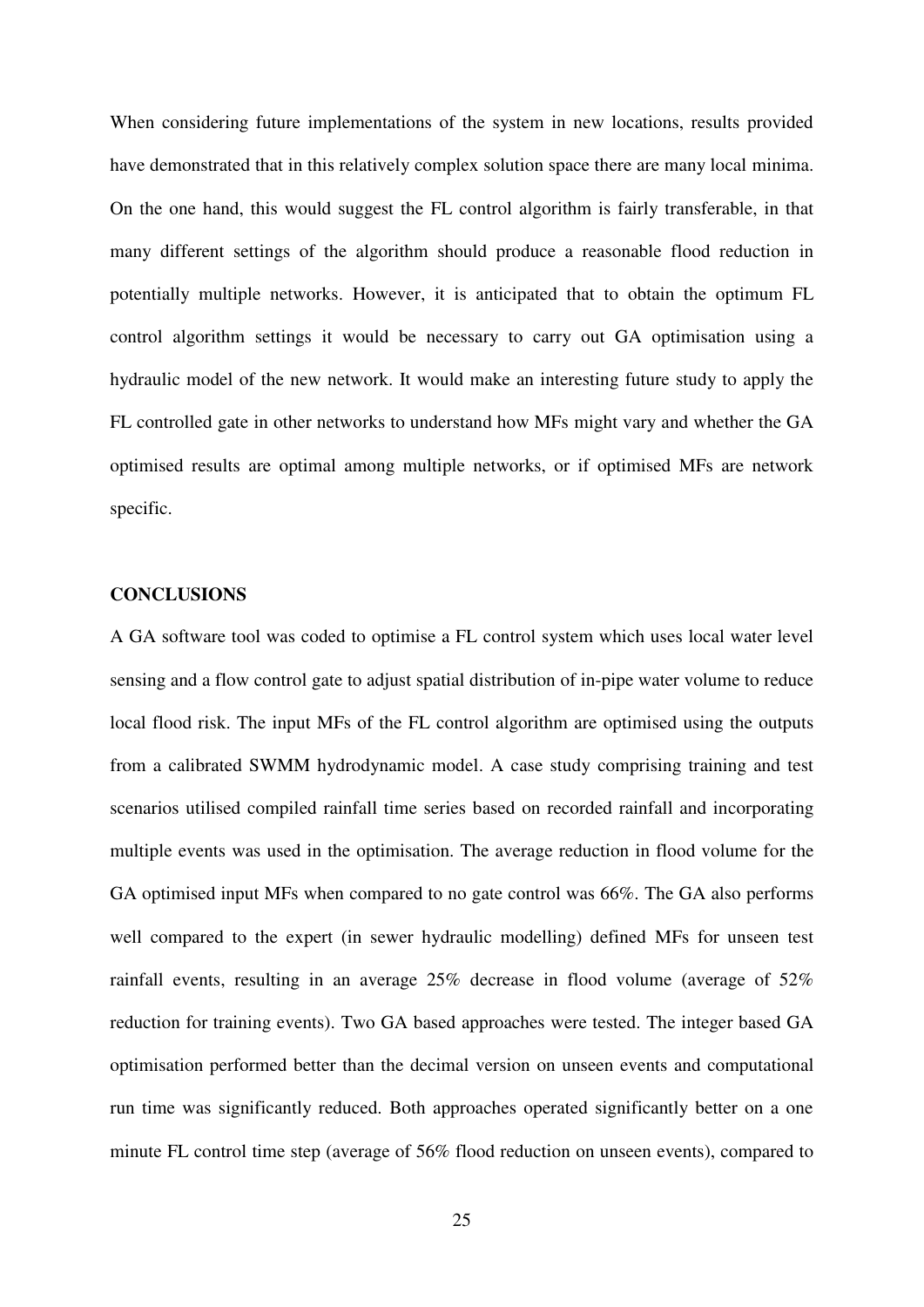When considering future implementations of the system in new locations, results provided have demonstrated that in this relatively complex solution space there are many local minima. On the one hand, this would suggest the FL control algorithm is fairly transferable, in that many different settings of the algorithm should produce a reasonable flood reduction in potentially multiple networks. However, it is anticipated that to obtain the optimum FL control algorithm settings it would be necessary to carry out GA optimisation using a hydraulic model of the new network. It would make an interesting future study to apply the FL controlled gate in other networks to understand how MFs might vary and whether the GA optimised results are optimal among multiple networks, or if optimised MFs are network specific.

#### **CONCLUSIONS**

A GA software tool was coded to optimise a FL control system which uses local water level sensing and a flow control gate to adjust spatial distribution of in-pipe water volume to reduce local flood risk. The input MFs of the FL control algorithm are optimised using the outputs from a calibrated SWMM hydrodynamic model. A case study comprising training and test scenarios utilised compiled rainfall time series based on recorded rainfall and incorporating multiple events was used in the optimisation. The average reduction in flood volume for the GA optimised input MFs when compared to no gate control was 66%. The GA also performs well compared to the expert (in sewer hydraulic modelling) defined MFs for unseen test rainfall events, resulting in an average 25% decrease in flood volume (average of 52% reduction for training events). Two GA based approaches were tested. The integer based GA optimisation performed better than the decimal version on unseen events and computational run time was significantly reduced. Both approaches operated significantly better on a one minute FL control time step (average of 56% flood reduction on unseen events), compared to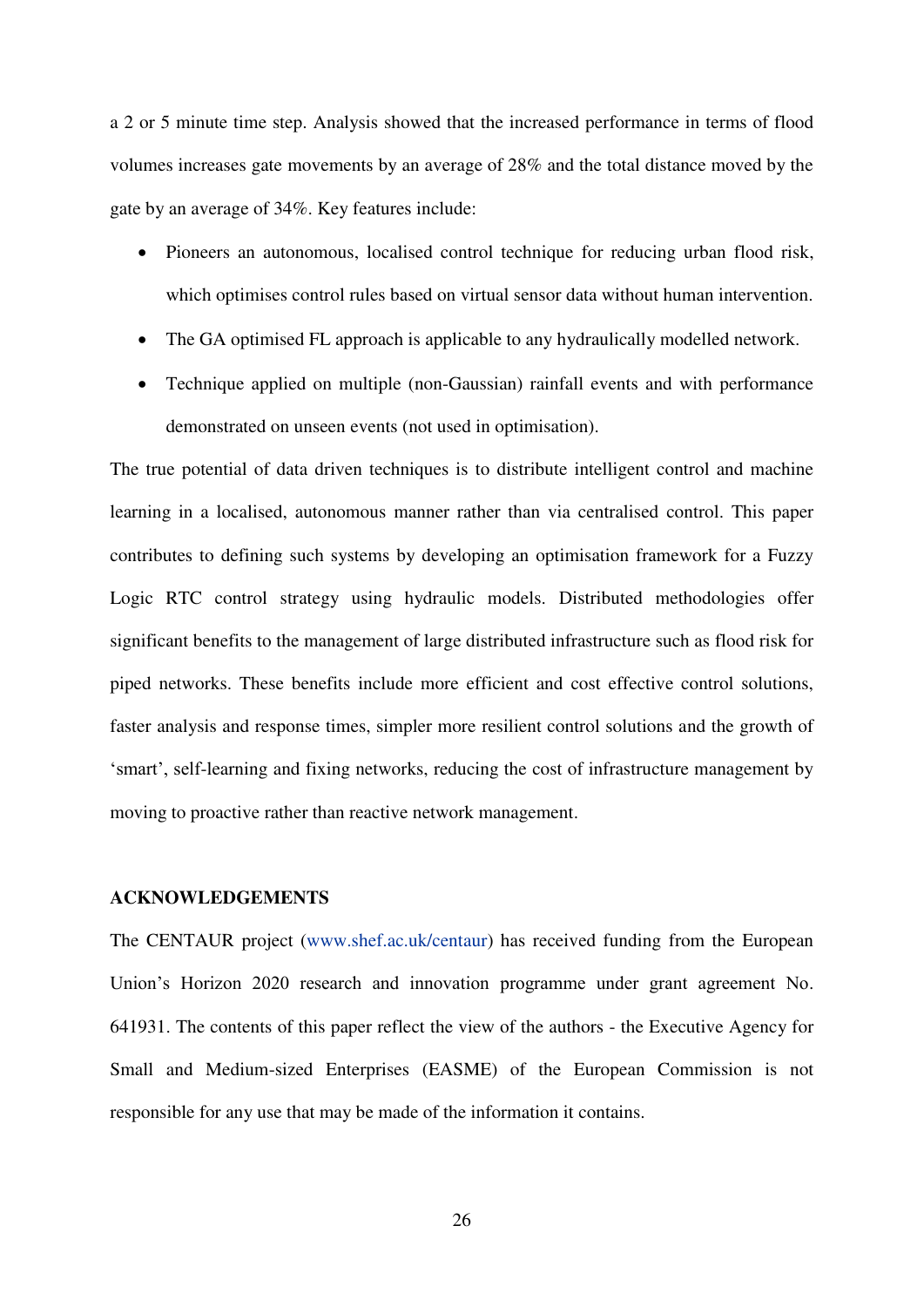a 2 or 5 minute time step. Analysis showed that the increased performance in terms of flood volumes increases gate movements by an average of 28% and the total distance moved by the gate by an average of 34%. Key features include:

- Pioneers an autonomous, localised control technique for reducing urban flood risk, which optimises control rules based on virtual sensor data without human intervention.
- The GA optimised FL approach is applicable to any hydraulically modelled network.
- Technique applied on multiple (non-Gaussian) rainfall events and with performance demonstrated on unseen events (not used in optimisation).

The true potential of data driven techniques is to distribute intelligent control and machine learning in a localised, autonomous manner rather than via centralised control. This paper contributes to defining such systems by developing an optimisation framework for a Fuzzy Logic RTC control strategy using hydraulic models. Distributed methodologies offer significant benefits to the management of large distributed infrastructure such as flood risk for piped networks. These benefits include more efficient and cost effective control solutions, faster analysis and response times, simpler more resilient control solutions and the growth of 'smart', self-learning and fixing networks, reducing the cost of infrastructure management by moving to proactive rather than reactive network management.

#### **ACKNOWLEDGEMENTS**

The CENTAUR project [\(www.shef.ac.uk/centaur\)](http://www.shef.ac.uk/centaur) has received funding from the European Union's Horizon 2020 research and innovation programme under grant agreement No. 641931. The contents of this paper reflect the view of the authors - the Executive Agency for Small and Medium-sized Enterprises (EASME) of the European Commission is not responsible for any use that may be made of the information it contains.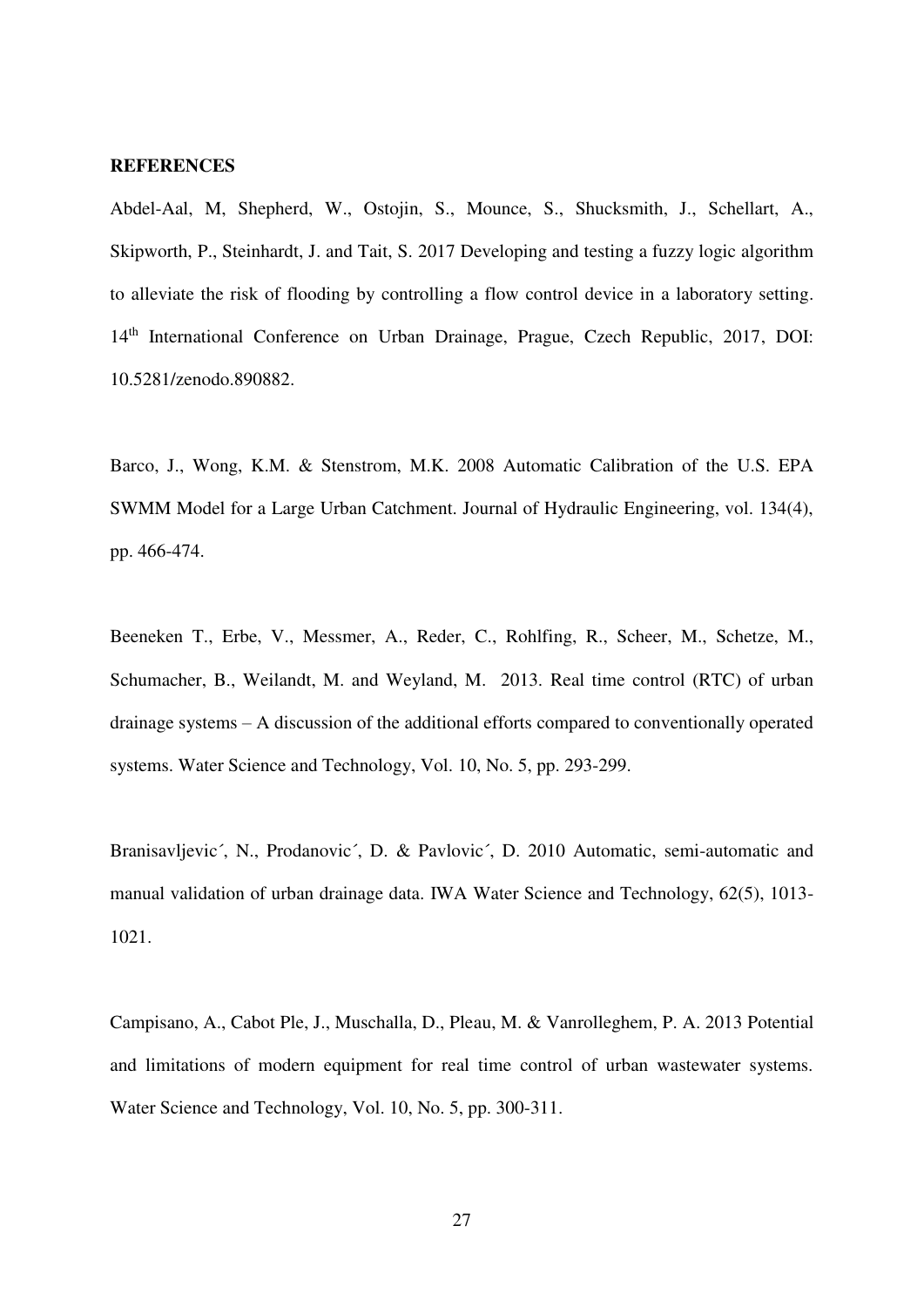#### **REFERENCES**

Abdel-Aal, M, Shepherd, W., Ostojin, S., Mounce, S., Shucksmith, J., Schellart, A., Skipworth, P., Steinhardt, J. and Tait, S. 2017 Developing and testing a fuzzy logic algorithm to alleviate the risk of flooding by controlling a flow control device in a laboratory setting. 14<sup>th</sup> International Conference on Urban Drainage, Prague, Czech Republic, 2017, DOI: 10.5281/zenodo.890882.

Barco, J., Wong, K.M. & Stenstrom, M.K. 2008 Automatic Calibration of the U.S. EPA SWMM Model for a Large Urban Catchment. Journal of Hydraulic Engineering, vol. 134(4), pp. 466-474.

Beeneken T., Erbe, V., Messmer, A., Reder, C., Rohlfing, R., Scheer, M., Schetze, M., Schumacher, B., Weilandt, M. and Weyland, M. 2013. Real time control (RTC) of urban drainage systems – A discussion of the additional efforts compared to conventionally operated systems. Water Science and Technology, Vol. 10, No. 5, pp. 293-299.

Branisavljevic´, N., Prodanovic´, D. & Pavlovic´, D. 2010 Automatic, semi-automatic and manual validation of urban drainage data. IWA Water Science and Technology, 62(5), 1013- 1021.

Campisano, A., Cabot Ple, J., Muschalla, D., Pleau, M. & Vanrolleghem, P. A. 2013 Potential and limitations of modern equipment for real time control of urban wastewater systems. Water Science and Technology, Vol. 10, No. 5, pp. 300-311.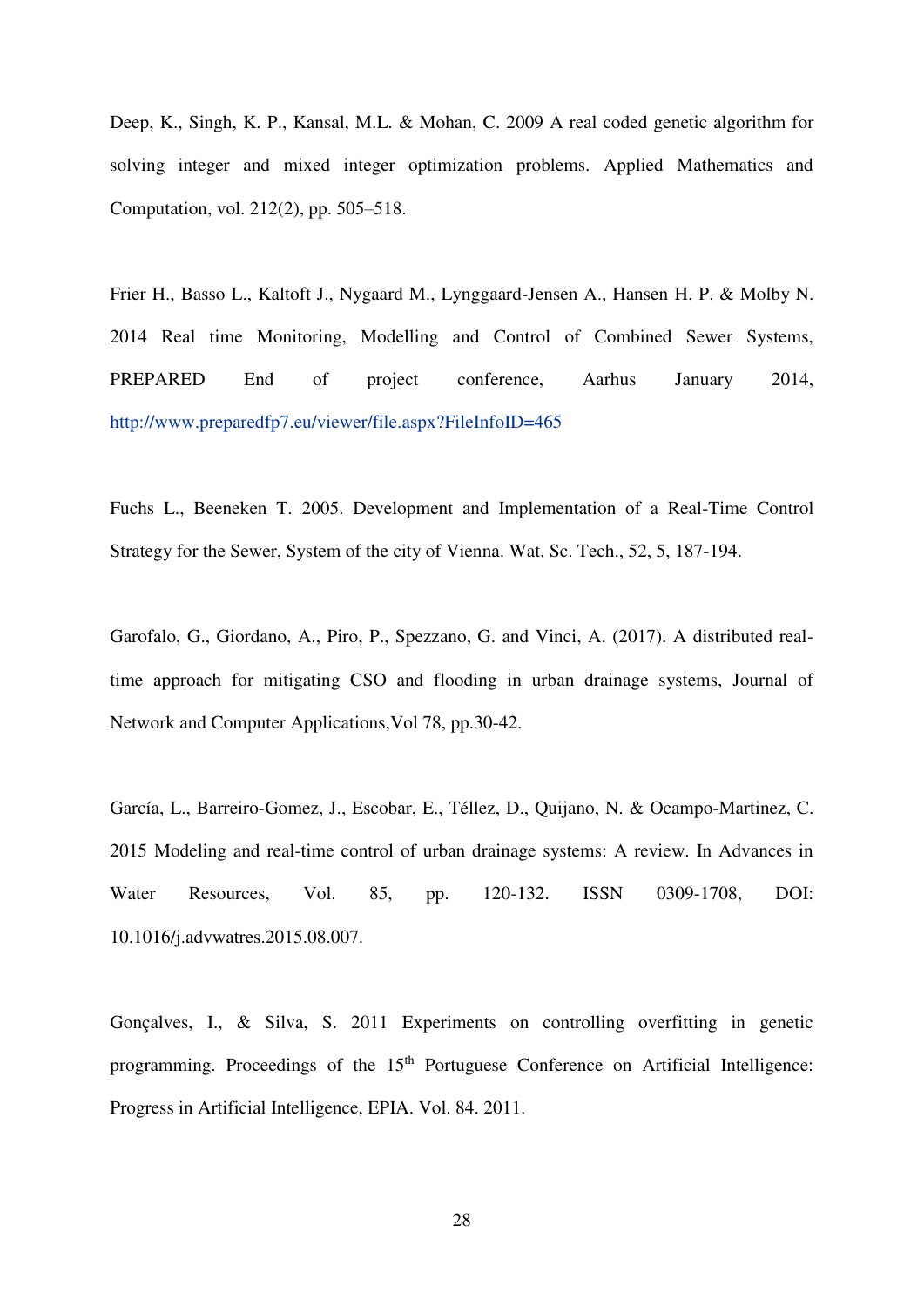Deep, K., Singh, K. P., Kansal, M.L. & Mohan, C. 2009 A real coded genetic algorithm for solving integer and mixed integer optimization problems. Applied Mathematics and Computation, vol. 212(2), pp. 505–518.

Frier H., Basso L., Kaltoft J., Nygaard M., Lynggaard-Jensen A., Hansen H. P. & Molby N. 2014 Real time Monitoring, Modelling and Control of Combined Sewer Systems, PREPARED End of project conference, Aarhus January 2014, <http://www.preparedfp7.eu/viewer/file.aspx?FileInfoID=465>

Fuchs L., Beeneken T. 2005. Development and Implementation of a Real-Time Control Strategy for the Sewer, System of the city of Vienna. Wat. Sc. Tech., 52, 5, 187-194.

Garofalo, G., Giordano, A., Piro, P., Spezzano, G. and Vinci, A. (2017). A distributed realtime approach for mitigating CSO and flooding in urban drainage systems, Journal of Network and Computer Applications,Vol 78, pp.30-42.

García, L., Barreiro-Gomez, J., Escobar, E., Téllez, D., Quijano, N. & Ocampo-Martinez, C. 2015 Modeling and real-time control of urban drainage systems: A review. In Advances in Water Resources, Vol. 85, pp. 120-132. ISSN 0309-1708, DOI: 10.1016/j.advwatres.2015.08.007.

Gonçalves, I., & Silva, S. 2011 Experiments on controlling overfitting in genetic programming. Proceedings of the 15<sup>th</sup> Portuguese Conference on Artificial Intelligence: Progress in Artificial Intelligence, EPIA. Vol. 84. 2011.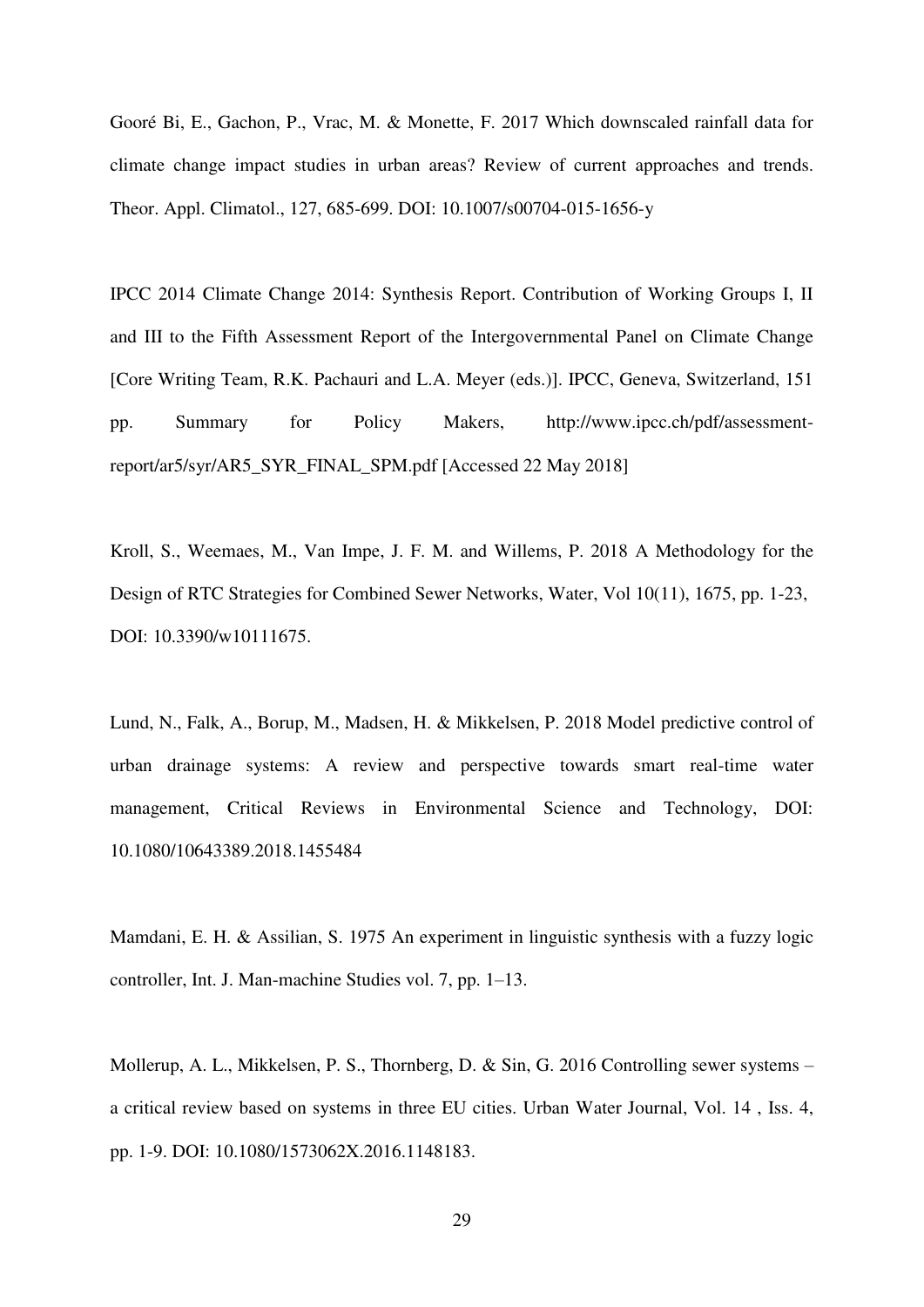Gooré Bi, E., Gachon, P., Vrac, M. & Monette, F. 2017 Which downscaled rainfall data for climate change impact studies in urban areas? Review of current approaches and trends. Theor. Appl. Climatol., 127, 685-699. DOI: 10.1007/s00704-015-1656-y

IPCC 2014 Climate Change 2014: Synthesis Report. Contribution of Working Groups I, II and III to the Fifth Assessment Report of the Intergovernmental Panel on Climate Change [Core Writing Team, R.K. Pachauri and L.A. Meyer (eds.)]. IPCC, Geneva, Switzerland, 151 pp. Summary for Policy Makers, http://www.ipcc.ch/pdf/assessmentreport/ar5/syr/AR5\_SYR\_FINAL\_SPM.pdf [Accessed 22 May 2018]

Kroll, S., Weemaes, M., Van Impe, J. F. M. and Willems, P. 2018 A Methodology for the Design of RTC Strategies for Combined Sewer Networks, Water, Vol 10(11), 1675, pp. 1-23, DOI: 10.3390/w10111675.

Lund, N., Falk, A., Borup, M., Madsen, H. & Mikkelsen, P. 2018 Model predictive control of urban drainage systems: A review and perspective towards smart real-time water management, Critical Reviews in Environmental Science and Technology, DOI: 10.1080/10643389.2018.1455484

Mamdani, E. H. & Assilian, S. 1975 An experiment in linguistic synthesis with a fuzzy logic controller, Int. J. Man-machine Studies vol. 7, pp. 1–13.

Mollerup, A. L., Mikkelsen, P. S., Thornberg, D. & Sin, G. 2016 Controlling sewer systems – a critical review based on systems in three EU cities. Urban Water Journal, Vol. 14 , Iss. 4, pp. 1-9. DOI: 10.1080/1573062X.2016.1148183.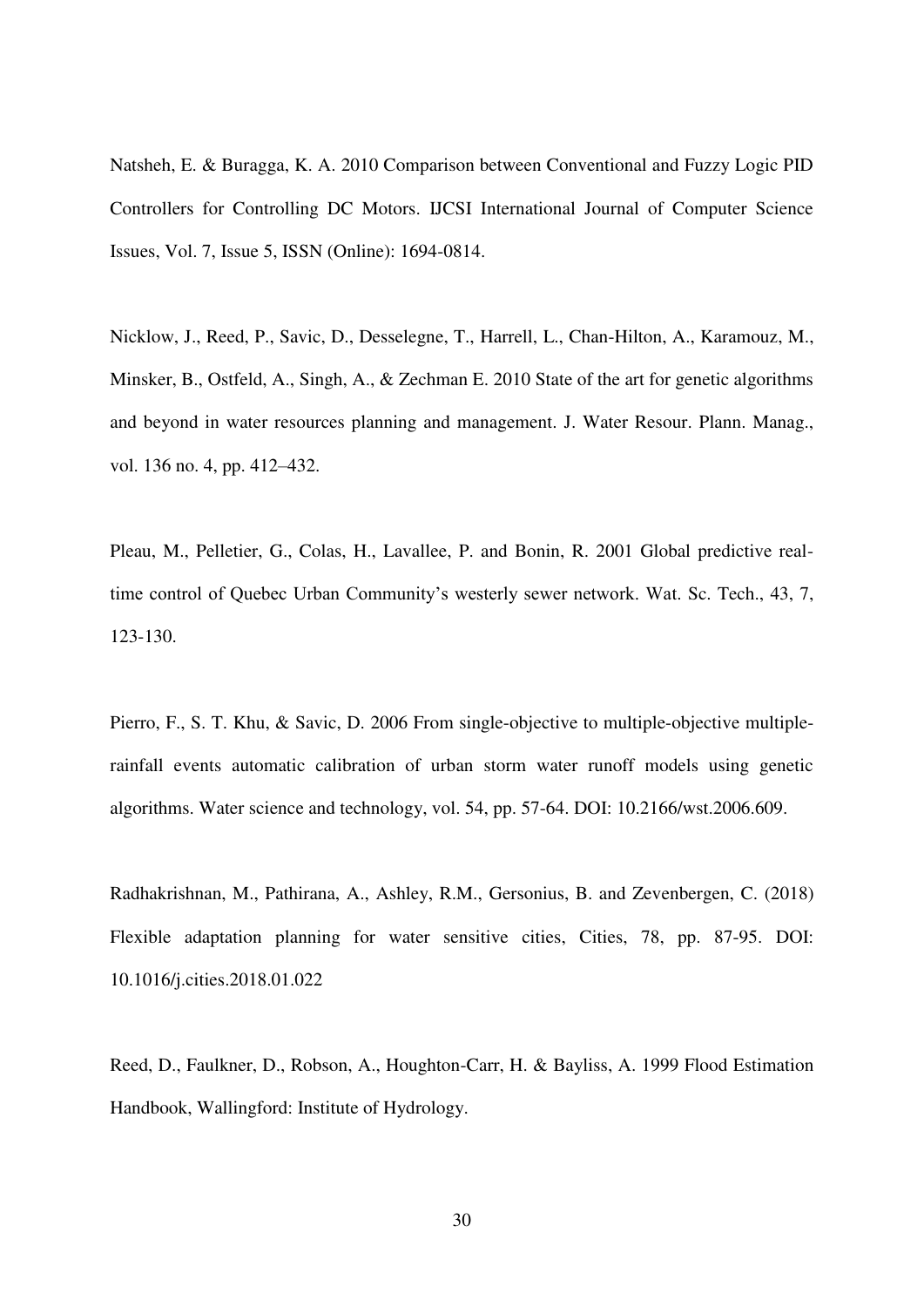Natsheh, E. & Buragga, K. A. 2010 Comparison between Conventional and Fuzzy Logic PID Controllers for Controlling DC Motors. IJCSI International Journal of Computer Science Issues, Vol. 7, Issue 5, ISSN (Online): 1694-0814.

Nicklow, J., Reed, P., Savic, D., Desselegne, T., Harrell, L., Chan-Hilton, A., Karamouz, M., Minsker, B., Ostfeld, A., Singh, A., & Zechman E. 2010 State of the art for genetic algorithms and beyond in water resources planning and management. J. Water Resour. Plann. Manag., vol. 136 no. 4, pp. 412–432.

Pleau, M., Pelletier, G., Colas, H., Lavallee, P. and Bonin, R. 2001 Global predictive realtime control of Quebec Urban Community's westerly sewer network. Wat. Sc. Tech., 43, 7, 123-130.

Pierro, F., S. T. Khu, & Savic, D. 2006 From single-objective to multiple-objective multiplerainfall events automatic calibration of urban storm water runoff models using genetic algorithms. Water science and technology, vol. 54, pp. 57-64. DOI: 10.2166/wst.2006.609.

Radhakrishnan, M., Pathirana, A., Ashley, R.M., Gersonius, B. and Zevenbergen, C. (2018) Flexible adaptation planning for water sensitive cities, Cities, 78, pp. 87-95. DOI: 10.1016/j.cities.2018.01.022

Reed, D., Faulkner, D., Robson, A., Houghton-Carr, H. & Bayliss, A. 1999 Flood Estimation Handbook, Wallingford: Institute of Hydrology.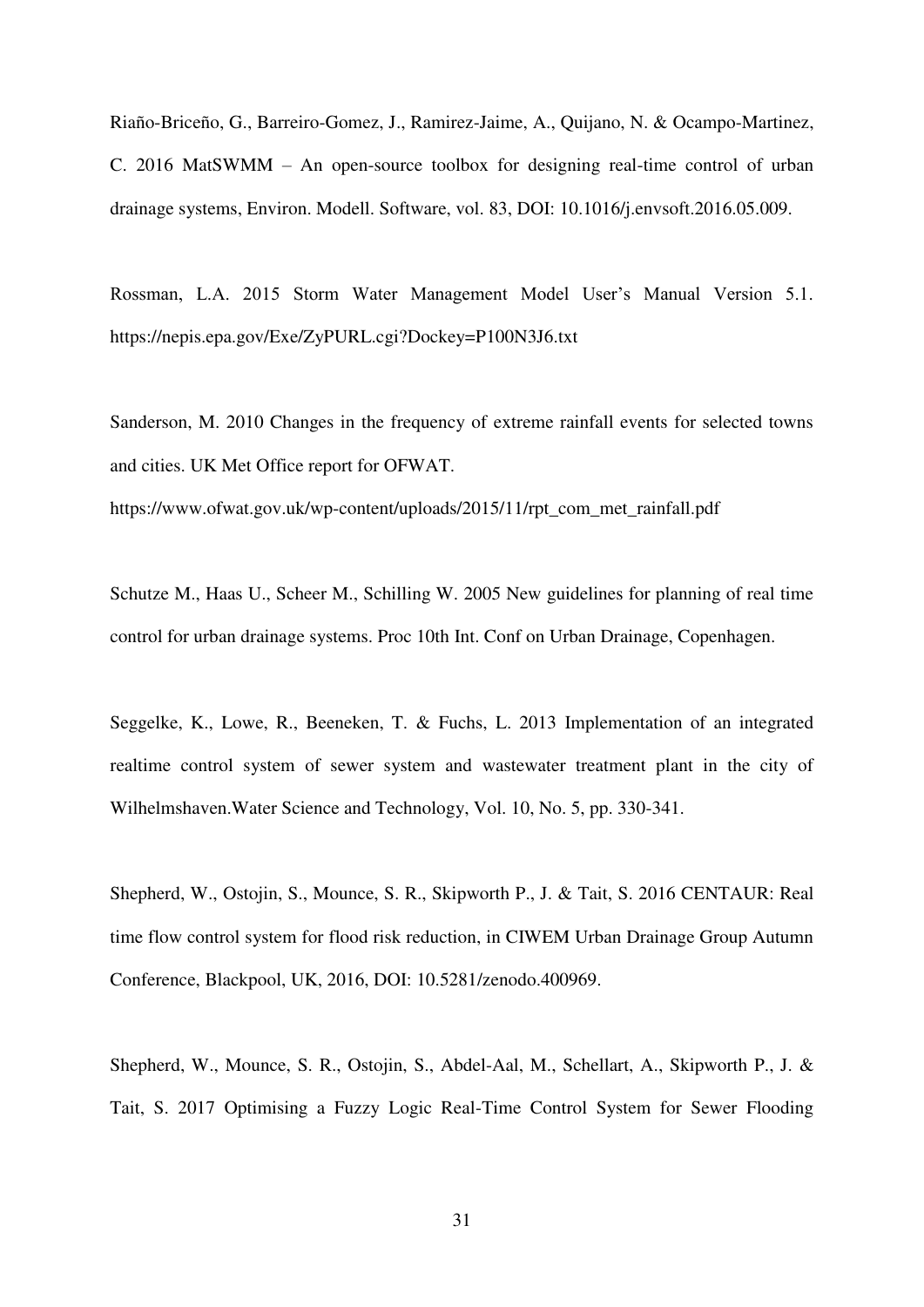Riaño-Briceño, G., Barreiro-Gomez, J., Ramirez-Jaime, A., Quijano, N. & Ocampo-Martinez, C. 2016 MatSWMM – An open-source toolbox for designing real-time control of urban drainage systems, Environ. Modell. Software, vol. 83, DOI: 10.1016/j.envsoft.2016.05.009.

Rossman, L.A. 2015 Storm Water Management Model User's Manual Version 5.1. https://nepis.epa.gov/Exe/ZyPURL.cgi?Dockey=P100N3J6.txt

Sanderson, M. 2010 Changes in the frequency of extreme rainfall events for selected towns and cities. UK Met Office report for OFWAT.

https://www.ofwat.gov.uk/wp-content/uploads/2015/11/rpt\_com\_met\_rainfall.pdf

Schutze M., Haas U., Scheer M., Schilling W. 2005 New guidelines for planning of real time control for urban drainage systems. Proc 10th Int. Conf on Urban Drainage, Copenhagen.

Seggelke, K., Lowe, R., Beeneken, T. & Fuchs, L. 2013 Implementation of an integrated realtime control system of sewer system and wastewater treatment plant in the city of Wilhelmshaven.Water Science and Technology, Vol. 10, No. 5, pp. 330-341.

Shepherd, W., Ostojin, S., Mounce, S. R., Skipworth P., J. & Tait, S. 2016 CENTAUR: Real time flow control system for flood risk reduction, in CIWEM Urban Drainage Group Autumn Conference, Blackpool, UK, 2016, DOI: 10.5281/zenodo.400969.

Shepherd, W., Mounce, S. R., Ostojin, S., Abdel-Aal, M., Schellart, A., Skipworth P., J. & Tait, S. 2017 Optimising a Fuzzy Logic Real-Time Control System for Sewer Flooding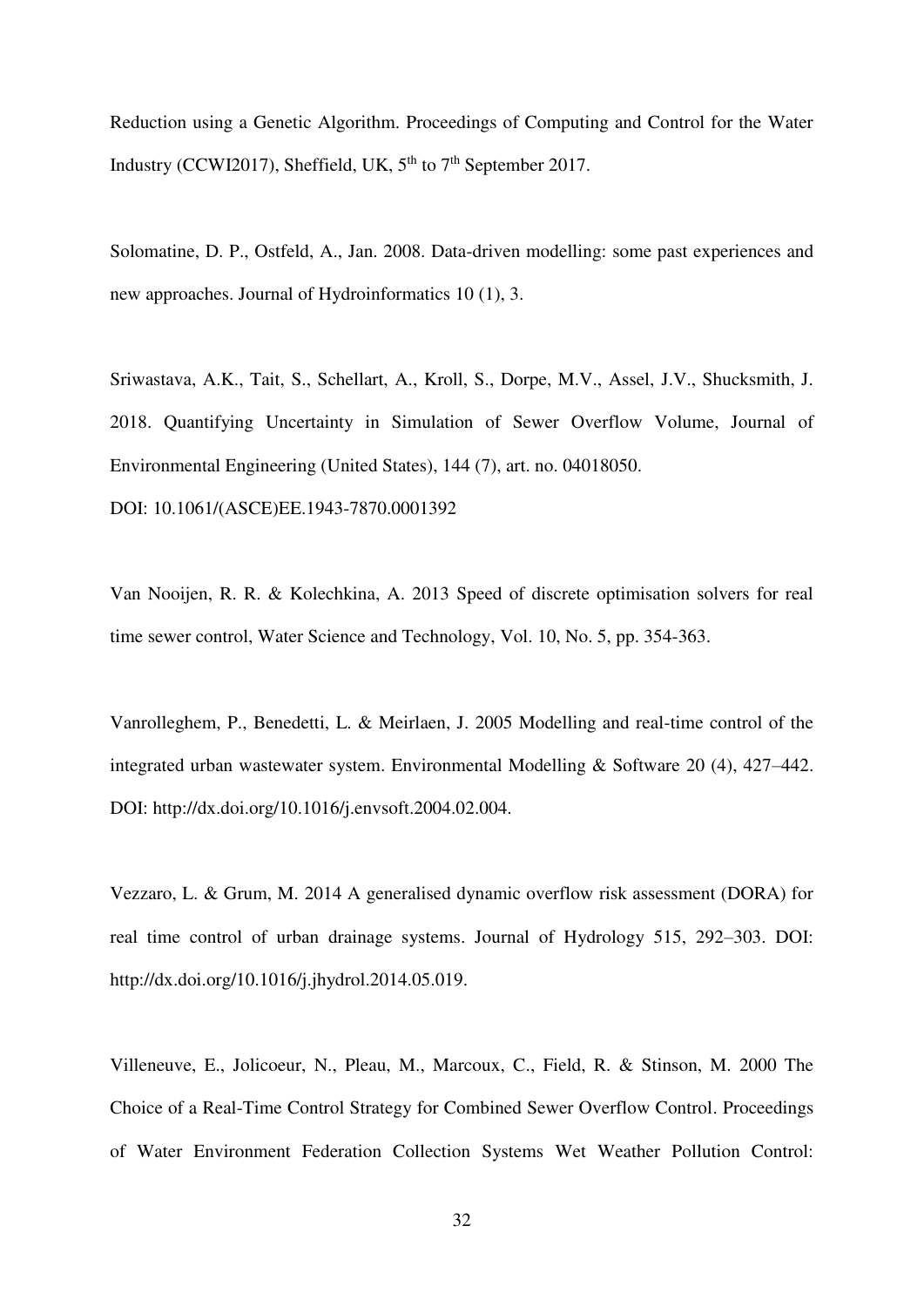Reduction using a Genetic Algorithm. Proceedings of Computing and Control for the Water Industry (CCWI2017), Sheffield, UK,  $5<sup>th</sup>$  to  $7<sup>th</sup>$  September 2017.

Solomatine, D. P., Ostfeld, A., Jan. 2008. Data-driven modelling: some past experiences and new approaches. Journal of Hydroinformatics 10 (1), 3.

Sriwastava, A.K., Tait, S., Schellart, A., Kroll, S., Dorpe, M.V., Assel, J.V., Shucksmith, J. 2018. Quantifying Uncertainty in Simulation of Sewer Overflow Volume, Journal of Environmental Engineering (United States), 144 (7), art. no. 04018050. DOI: 10.1061/(ASCE)EE.1943-7870.0001392

Van Nooijen, R. R. & Kolechkina, A. 2013 Speed of discrete optimisation solvers for real time sewer control, Water Science and Technology, Vol. 10, No. 5, pp. 354-363.

Vanrolleghem, P., Benedetti, L. & Meirlaen, J. 2005 Modelling and real-time control of the integrated urban wastewater system. Environmental Modelling & Software 20 (4), 427–442. DOI: http://dx.doi.org/10.1016/j.envsoft.2004.02.004.

Vezzaro, L. & Grum, M. 2014 A generalised dynamic overflow risk assessment (DORA) for real time control of urban drainage systems. Journal of Hydrology 515, 292–303. DOI: http://dx.doi.org/10.1016/j.jhydrol.2014.05.019.

Villeneuve, E., Jolicoeur, N., Pleau, M., Marcoux, C., Field, R. & Stinson, M. 2000 The Choice of a Real-Time Control Strategy for Combined Sewer Overflow Control. Proceedings of Water Environment Federation Collection Systems Wet Weather Pollution Control: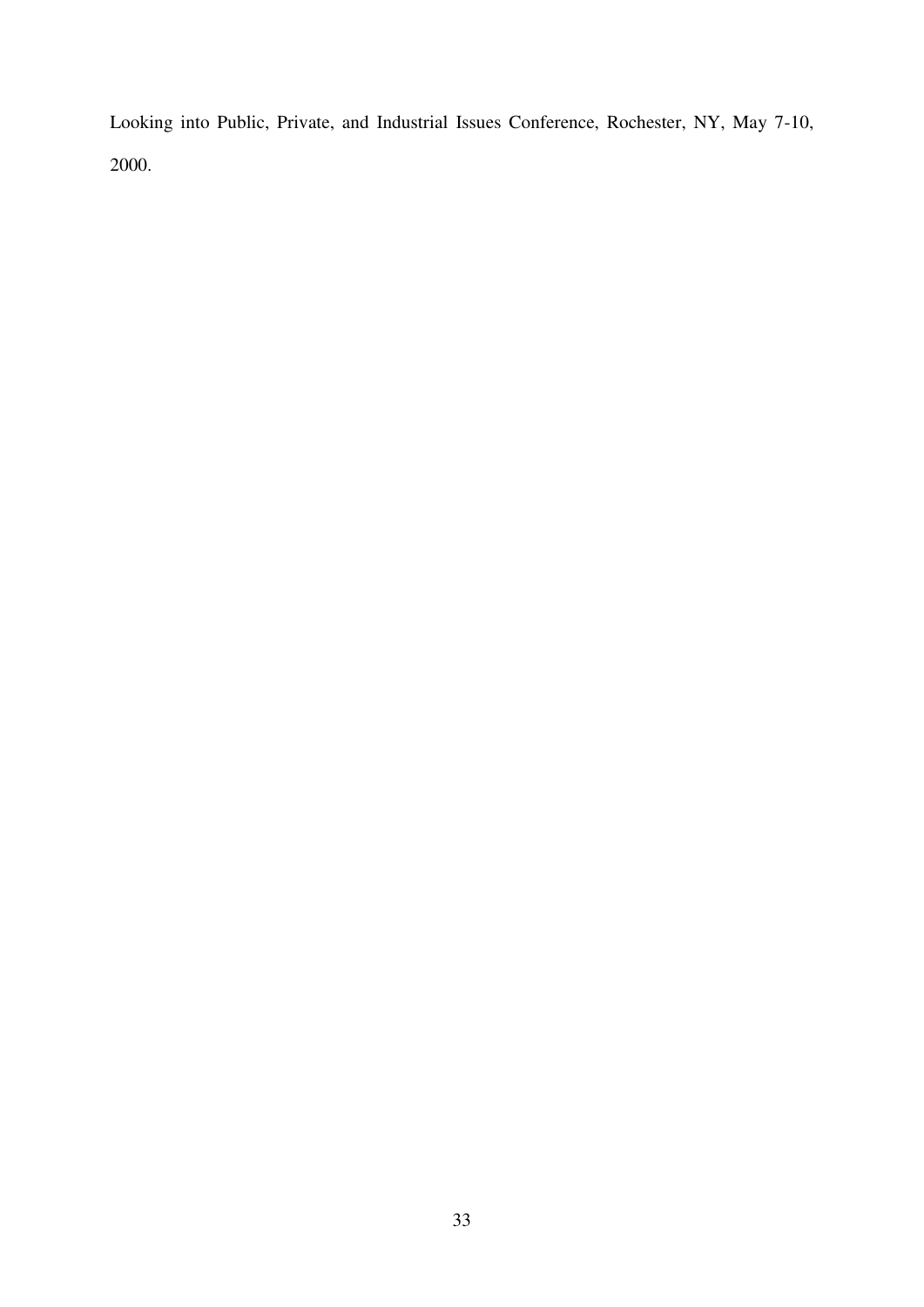Looking into Public, Private, and Industrial Issues Conference, Rochester, NY, May 7-10, 2000.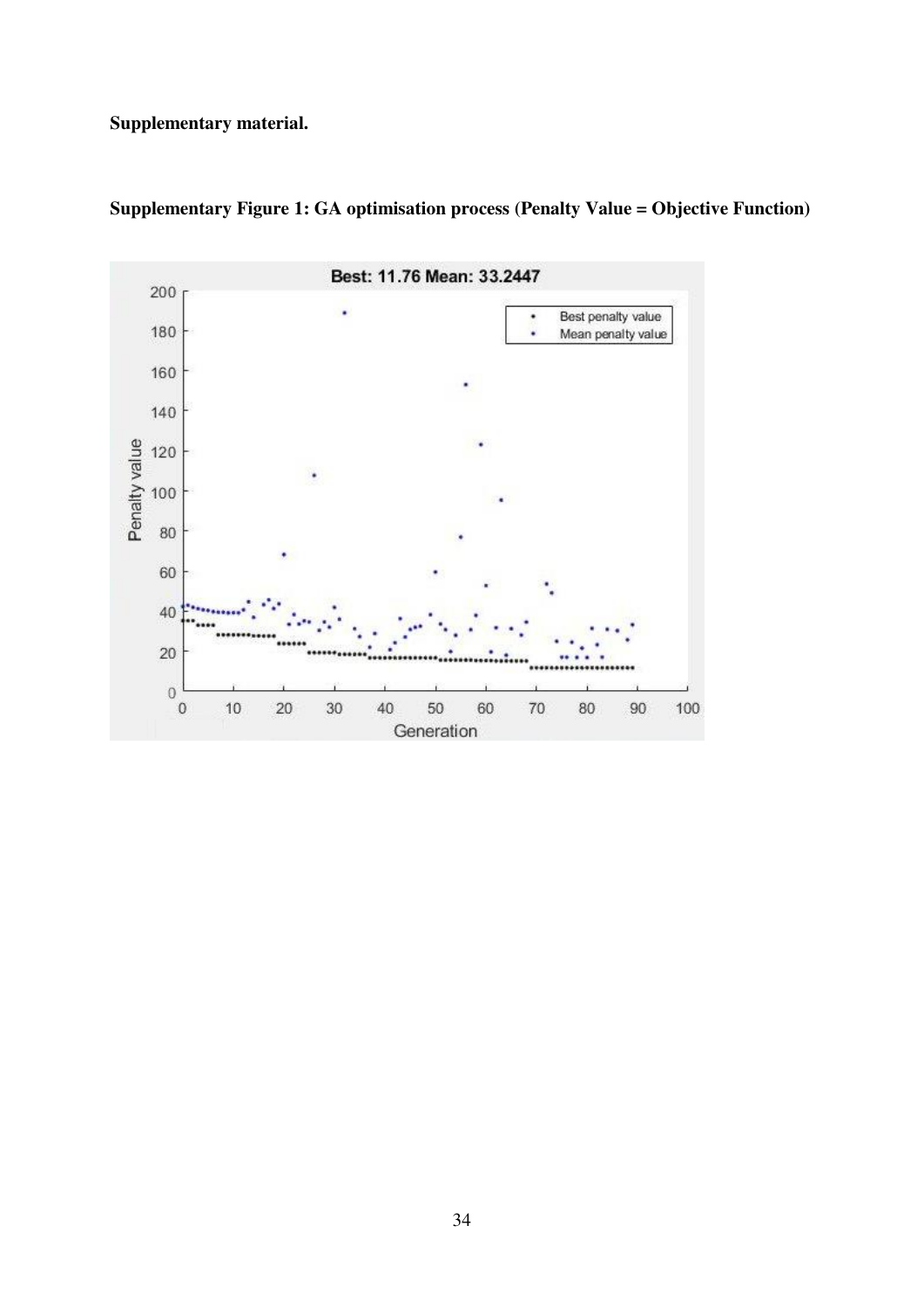**Supplementary material.** 



**Supplementary Figure 1: GA optimisation process (Penalty Value = Objective Function)**